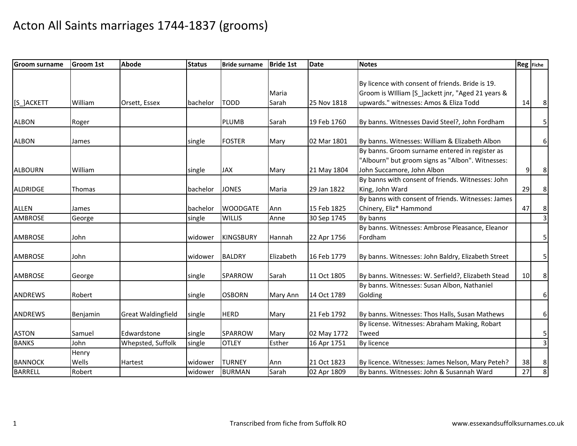| <b>Groom surname</b> | <b>Groom 1st</b> | <b>Abode</b>              | <b>Status</b> | <b>Bride surname</b> | <b>Bride 1st</b> | <b>Date</b> | <b>Notes</b>                                       | Reg Fiche |                         |
|----------------------|------------------|---------------------------|---------------|----------------------|------------------|-------------|----------------------------------------------------|-----------|-------------------------|
|                      |                  |                           |               |                      |                  |             |                                                    |           |                         |
|                      |                  |                           |               |                      |                  |             | By licence with consent of friends. Bride is 19.   |           |                         |
|                      |                  |                           |               |                      | Maria            |             | Groom is William [S_]ackett jnr, "Aged 21 years &  |           |                         |
| [S_]ACKETT           | William          | Orsett, Essex             | bachelor      | <b>TODD</b>          | Sarah            | 25 Nov 1818 | upwards." witnesses: Amos & Eliza Todd             | 14        | 8                       |
| <b>ALBON</b>         | Roger            |                           |               | <b>PLUMB</b>         | Sarah            | 19 Feb 1760 | By banns. Witnesses David Steel?, John Fordham     |           | 5                       |
|                      |                  |                           |               |                      |                  |             |                                                    |           |                         |
| <b>ALBON</b>         | James            |                           | single        | <b>FOSTER</b>        | Mary             | 02 Mar 1801 | By banns. Witnesses: William & Elizabeth Albon     |           | 6                       |
|                      |                  |                           |               |                      |                  |             | By banns. Groom surname entered in register as     |           |                         |
|                      |                  |                           |               |                      |                  |             | "Albourn" but groom signs as "Albon". Witnesses:   |           |                         |
| <b>ALBOURN</b>       | William          |                           | single        | <b>JAX</b>           | Mary             | 21 May 1804 | John Succamore, John Albon                         | 9         | 8                       |
|                      |                  |                           |               |                      |                  |             | By banns with consent of friends. Witnesses: John  |           |                         |
| ALDRIDGE             | <b>Thomas</b>    |                           | bachelor      | <b>JONES</b>         | Maria            | 29 Jan 1822 | King, John Ward                                    | 29        | 8                       |
|                      |                  |                           |               |                      |                  |             | By banns with consent of friends. Witnesses: James |           |                         |
| <b>ALLEN</b>         | James            |                           | bachelor      | <b>WOODGATE</b>      | Ann              | 15 Feb 1825 | Chinery, Eliz* Hammond                             | 47        | 8                       |
| <b>AMBROSE</b>       | George           |                           | single        | <b>WILLIS</b>        | Anne             | 30 Sep 1745 | By banns                                           |           | $\overline{3}$          |
|                      |                  |                           |               |                      |                  |             | By banns. Witnesses: Ambrose Pleasance, Eleanor    |           |                         |
| <b>AMBROSE</b>       | John             |                           | widower       | <b>KINGSBURY</b>     | Hannah           | 22 Apr 1756 | Fordham                                            |           | 5                       |
| <b>AMBROSE</b>       | John             |                           | widower       | <b>BALDRY</b>        | Elizabeth        | 16 Feb 1779 | By banns. Witnesses: John Baldry, Elizabeth Street |           | 5                       |
|                      |                  |                           |               |                      |                  |             |                                                    |           |                         |
| <b>AMBROSE</b>       | George           |                           | single        | <b>SPARROW</b>       | Sarah            | 11 Oct 1805 | By banns. Witnesses: W. Serfield?, Elizabeth Stead | 10        | 8                       |
|                      |                  |                           |               |                      |                  |             | By banns. Witnesses: Susan Albon, Nathaniel        |           |                         |
| <b>ANDREWS</b>       | Robert           |                           | single        | <b>OSBORN</b>        | Mary Ann         | 14 Oct 1789 | Golding                                            |           | 6                       |
|                      |                  |                           |               |                      |                  |             |                                                    |           |                         |
| <b>ANDREWS</b>       | Benjamin         | <b>Great Waldingfield</b> | single        | <b>HERD</b>          | Mary             | 21 Feb 1792 | By banns. Witnesses: Thos Halls, Susan Mathews     |           | 6                       |
|                      |                  |                           |               |                      |                  |             | By license. Witnesses: Abraham Making, Robart      |           |                         |
| <b>ASTON</b>         | Samuel           | Edwardstone               | single        | SPARROW              | Mary             | 02 May 1772 | Tweed                                              |           | 5                       |
| <b>BANKS</b>         | John             | Whepsted, Suffolk         | single        | <b>OTLEY</b>         | Esther           | 16 Apr 1751 | By licence                                         |           | $\overline{\mathbf{3}}$ |
|                      | Henry            |                           |               |                      |                  |             |                                                    |           |                         |
| <b>BANNOCK</b>       | Wells            | <b>Hartest</b>            | widower       | <b>TURNEY</b>        | Ann              | 21 Oct 1823 | By licence. Witnesses: James Nelson, Mary Peteh?   | 38        | 8                       |
| <b>BARRELL</b>       | Robert           |                           | widower       | <b>BURMAN</b>        | Sarah            | 02 Apr 1809 | By banns. Witnesses: John & Susannah Ward          | 27        | 8                       |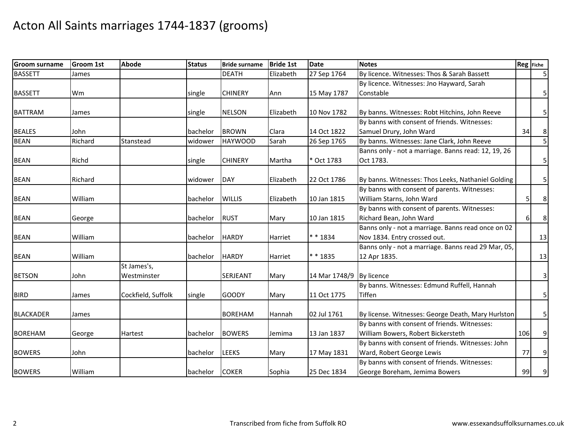| <b>Groom surname</b> | <b>Groom 1st</b> | <b>Abode</b>       | <b>Status</b> | <b>Bride surname</b> | <b>Bride 1st</b> | <b>Date</b>              | <b>Notes</b>                                        |     | Reg Fiche      |
|----------------------|------------------|--------------------|---------------|----------------------|------------------|--------------------------|-----------------------------------------------------|-----|----------------|
| <b>BASSETT</b>       | James            |                    |               | <b>DEATH</b>         | Elizabeth        | 27 Sep 1764              | By licence. Witnesses: Thos & Sarah Bassett         |     | 5 <sup>1</sup> |
|                      |                  |                    |               |                      |                  |                          | By licence. Witnesses: Jno Hayward, Sarah           |     |                |
| <b>BASSETT</b>       | Wm               |                    | single        | <b>CHINERY</b>       | Ann              | 15 May 1787              | Constable                                           |     | 5              |
|                      |                  |                    |               |                      |                  |                          |                                                     |     |                |
| <b>BATTRAM</b>       | James            |                    | single        | <b>NELSON</b>        | Elizabeth        | 10 Nov 1782              | By banns. Witnesses: Robt Hitchins, John Reeve      |     | 5              |
|                      |                  |                    |               |                      |                  |                          | By banns with consent of friends. Witnesses:        |     |                |
| <b>BEALES</b>        | John             |                    | bachelor      | <b>BROWN</b>         | Clara            | 14 Oct 1822              | Samuel Drury, John Ward                             | 34  | 8              |
| <b>BEAN</b>          | Richard          | Stanstead          | widower       | <b>HAYWOOD</b>       | Sarah            | 26 Sep 1765              | By banns. Witnesses: Jane Clark, John Reeve         |     | $\overline{5}$ |
|                      |                  |                    |               |                      |                  |                          | Banns only - not a marriage. Banns read: 12, 19, 26 |     |                |
| <b>BEAN</b>          | Richd            |                    | single        | <b>CHINERY</b>       | Martha           | * Oct 1783               | Oct 1783.                                           |     | 5 <sub>l</sub> |
|                      |                  |                    |               |                      |                  |                          |                                                     |     |                |
| <b>BEAN</b>          | Richard          |                    | widower       | DAY                  | Elizabeth        | 22 Oct 1786              | By banns. Witnesses: Thos Leeks, Nathaniel Golding  |     | 5 <sup>1</sup> |
|                      |                  |                    |               |                      |                  |                          | By banns with consent of parents. Witnesses:        |     |                |
| <b>BEAN</b>          | William          |                    | bachelor      | <b>WILLIS</b>        | Elizabeth        | 10 Jan 1815              | William Starns, John Ward                           | 5   | 8              |
|                      |                  |                    |               |                      |                  |                          | By banns with consent of parents. Witnesses:        |     |                |
| <b>BEAN</b>          | George           |                    | bachelor      | <b>RUST</b>          | Mary             | 10 Jan 1815              | Richard Bean, John Ward                             | 6   | 8 <sup>1</sup> |
|                      |                  |                    |               |                      |                  |                          | Banns only - not a marriage. Banns read once on 02  |     |                |
| <b>BEAN</b>          | William          |                    | bachelor      | <b>HARDY</b>         | Harriet          | ** 1834                  | Nov 1834. Entry crossed out.                        |     | 13             |
|                      |                  |                    |               |                      |                  |                          | Banns only - not a marriage. Banns read 29 Mar, 05, |     |                |
| <b>BEAN</b>          | William          |                    | bachelor      | <b>HARDY</b>         | Harriet          | * * 1835                 | 12 Apr 1835.                                        |     | 13             |
|                      |                  | St James's,        |               |                      |                  |                          |                                                     |     |                |
| <b>BETSON</b>        | John             | Westminster        |               | SERJEANT             | Mary             | 14 Mar 1748/9 By licence |                                                     |     | 3              |
|                      |                  |                    |               |                      |                  |                          | By banns. Witnesses: Edmund Ruffell, Hannah         |     |                |
| <b>BIRD</b>          | James            | Cockfield, Suffolk | single        | <b>GOODY</b>         | Mary             | 11 Oct 1775              | Tiffen                                              |     | 5 <sub>l</sub> |
|                      |                  |                    |               |                      |                  |                          |                                                     |     |                |
| <b>BLACKADER</b>     | James            |                    |               | <b>BOREHAM</b>       | Hannah           | 02 Jul 1761              | By license. Witnesses: George Death, Mary Hurlston  |     | 5 <sub>l</sub> |
|                      |                  |                    |               |                      |                  |                          | By banns with consent of friends. Witnesses:        |     |                |
| <b>BOREHAM</b>       | George           | Hartest            | bachelor      | <b>BOWERS</b>        | Jemima           | 13 Jan 1837              | William Bowers, Robert Bickersteth                  | 106 | 9              |
|                      |                  |                    |               |                      |                  |                          | By banns with consent of friends. Witnesses: John   |     |                |
| <b>BOWERS</b>        | John             |                    | bachelor      | <b>LEEKS</b>         | Mary             | 17 May 1831              | Ward, Robert George Lewis                           | 77  | 9              |
|                      |                  |                    |               |                      |                  |                          | By banns with consent of friends. Witnesses:        |     |                |
| <b>BOWERS</b>        | William          |                    | bachelor      | <b>COKER</b>         | Sophia           | 25 Dec 1834              | George Boreham, Jemima Bowers                       | 99  | 9              |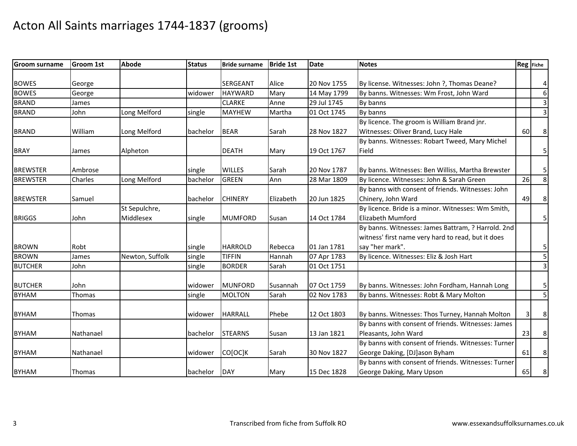| <b>Groom surname</b> | <b>Groom 1st</b> | <b>Abode</b>    | <b>Status</b> | <b>Bride surname</b>          | <b>Bride 1st</b> | <b>Date</b> | <b>Notes</b>                                                                                   | <b>Reg</b> Fiche |                         |
|----------------------|------------------|-----------------|---------------|-------------------------------|------------------|-------------|------------------------------------------------------------------------------------------------|------------------|-------------------------|
|                      |                  |                 |               |                               |                  |             |                                                                                                |                  |                         |
| <b>BOWES</b>         | George           |                 |               | SERGEANT                      | Alice            | 20 Nov 1755 | By license. Witnesses: John ?, Thomas Deane?                                                   |                  | $\overline{4}$          |
| <b>BOWES</b>         | George           |                 | widower       | <b>HAYWARD</b>                | Mary             | 14 May 1799 | By banns. Witnesses: Wm Frost, John Ward                                                       |                  | $6\,$                   |
| <b>BRAND</b>         | James            |                 |               | <b>CLARKE</b>                 | Anne             | 29 Jul 1745 | By banns                                                                                       |                  | $\overline{\mathbf{3}}$ |
| <b>BRAND</b>         | John             | Long Melford    | single        | <b>MAYHEW</b>                 | Martha           | 01 Oct 1745 | By banns                                                                                       |                  | υ                       |
|                      |                  |                 |               |                               |                  |             | By licence. The groom is William Brand jnr.                                                    |                  |                         |
| <b>BRAND</b>         | William          | Long Melford    | bachelor      | <b>BEAR</b>                   | Sarah            | 28 Nov 1827 | Witnesses: Oliver Brand, Lucy Hale                                                             | 60               | 8                       |
|                      |                  |                 |               |                               |                  |             | By banns. Witnesses: Robart Tweed, Mary Michel                                                 |                  |                         |
| <b>BRAY</b>          | James            | Alpheton        |               | <b>DEATH</b>                  | Mary             | 19 Oct 1767 | Field                                                                                          |                  | 5 <sub>l</sub>          |
| <b>BREWSTER</b>      |                  |                 |               |                               |                  |             |                                                                                                |                  |                         |
| <b>BREWSTER</b>      | Ambrose          |                 | single        | <b>WILLES</b><br><b>GREEN</b> | Sarah            | 20 Nov 1787 | By banns. Witnesses: Ben Williss, Martha Brewster<br>By licence. Witnesses: John & Sarah Green | 26               | 5<br>$\infty$           |
|                      | Charles          | Long Melford    | bachelor      |                               | Ann              | 28 Mar 1809 | By banns with consent of friends. Witnesses: John                                              |                  |                         |
|                      |                  |                 |               |                               |                  |             |                                                                                                |                  |                         |
| <b>BREWSTER</b>      | Samuel           | St Sepulchre,   | bachelor      | <b>CHINERY</b>                | Elizabeth        | 20 Jun 1825 | Chinery, John Ward<br>By licence. Bride is a minor. Witnesses: Wm Smith,                       | 49               | 8                       |
|                      |                  |                 |               |                               |                  |             |                                                                                                |                  |                         |
| <b>BRIGGS</b>        | John             | Middlesex       | single        | <b>MUMFORD</b>                | Susan            | 14 Oct 1784 | Elizabeth Mumford                                                                              |                  | 5 <sub>l</sub>          |
|                      |                  |                 |               |                               |                  |             | By banns. Witnesses: James Battram, ? Harrold. 2nd                                             |                  |                         |
|                      |                  |                 |               |                               |                  |             | witness' first name very hard to read, but it does                                             |                  |                         |
| <b>BROWN</b>         | Robt             |                 | single        | <b>HARROLD</b>                | Rebecca          | 01 Jan 1781 | say "her mark".                                                                                |                  | 5                       |
| <b>BROWN</b>         | James            | Newton, Suffolk | single        | <b>TIFFIN</b>                 | Hannah           | 07 Apr 1783 | By licence. Witnesses: Eliz & Josh Hart                                                        |                  | $\overline{5}$          |
| <b>BUTCHER</b>       | John             |                 | single        | <b>BORDER</b>                 | Sarah            | 01 Oct 1751 |                                                                                                |                  | $\overline{3}$          |
| <b>BUTCHER</b>       | John             |                 | widower       | <b>MUNFORD</b>                | Susannah         | 07 Oct 1759 | By banns. Witnesses: John Fordham, Hannah Long                                                 |                  | 5                       |
| <b>BYHAM</b>         | Thomas           |                 | single        | <b>MOLTON</b>                 | Sarah            | 02 Nov 1783 | By banns. Witnesses: Robt & Mary Molton                                                        |                  | $\overline{5}$          |
|                      |                  |                 |               |                               |                  |             |                                                                                                |                  |                         |
| <b>BYHAM</b>         | Thomas           |                 | widower       | <b>HARRALL</b>                | Phebe            | 12 Oct 1803 | By banns. Witnesses: Thos Turney, Hannah Molton                                                | 3                | 8                       |
|                      |                  |                 |               |                               |                  |             | By banns with consent of friends. Witnesses: James                                             |                  |                         |
| <b>BYHAM</b>         | Nathanael        |                 | bachelor      | <b>STEARNS</b>                | Susan            | 13 Jan 1821 | Pleasants, John Ward                                                                           | 23               | 8 <sup>1</sup>          |
|                      |                  |                 |               |                               |                  |             | By banns with consent of friends. Witnesses: Turner                                            |                  |                         |
| <b>BYHAM</b>         | Nathanael        |                 | widower       | CO[OC]K                       | Sarah            | 30 Nov 1827 | George Daking, [DJ]ason Byham                                                                  | 61               | $\bf 8$                 |
|                      |                  |                 |               |                               |                  |             | By banns with consent of friends. Witnesses: Turner                                            |                  |                         |
| <b>BYHAM</b>         | Thomas           |                 | bachelor      | <b>DAY</b>                    | Mary             | 15 Dec 1828 | George Daking, Mary Upson                                                                      | 65               | 8 <sup>1</sup>          |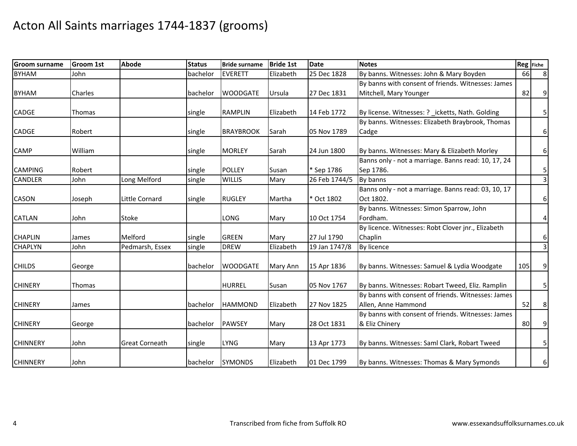| <b>Groom surname</b> | <b>Groom 1st</b> | <b>Abode</b>          | <b>Status</b> | <b>Bride surname</b> | <b>Bride 1st</b> | <b>Date</b>   | <b>Notes</b>                                        | Reg Fiche |                |
|----------------------|------------------|-----------------------|---------------|----------------------|------------------|---------------|-----------------------------------------------------|-----------|----------------|
| <b>BYHAM</b>         | John             |                       | bachelor      | <b>EVERETT</b>       | Elizabeth        | 25 Dec 1828   | By banns. Witnesses: John & Mary Boyden             | 66        | 8 <sup>°</sup> |
|                      |                  |                       |               |                      |                  |               | By banns with consent of friends. Witnesses: James  |           |                |
| <b>BYHAM</b>         | Charles          |                       | bachelor      | <b>WOODGATE</b>      | Ursula           | 27 Dec 1831   | Mitchell, Mary Younger                              | 82        | 9              |
|                      |                  |                       |               |                      |                  |               |                                                     |           |                |
| CADGE                | <b>Thomas</b>    |                       | single        | <b>RAMPLIN</b>       | Elizabeth        | 14 Feb 1772   | By license. Witnesses: ? _icketts, Nath. Golding    |           | 5              |
|                      |                  |                       |               |                      |                  |               | By banns. Witnesses: Elizabeth Braybrook, Thomas    |           |                |
| CADGE                | Robert           |                       | single        | <b>BRAYBROOK</b>     | Sarah            | 05 Nov 1789   | Cadge                                               |           | $6 \mid$       |
|                      |                  |                       |               |                      |                  |               |                                                     |           |                |
| <b>CAMP</b>          | William          |                       | single        | <b>MORLEY</b>        | Sarah            | 24 Jun 1800   | By banns. Witnesses: Mary & Elizabeth Morley        |           | $6 \mid$       |
|                      |                  |                       |               |                      |                  |               | Banns only - not a marriage. Banns read: 10, 17, 24 |           |                |
| <b>CAMPING</b>       | Robert           |                       | single        | <b>POLLEY</b>        | Susan            | * Sep 1786    | Sep 1786.                                           |           | $\mathbf{5}$   |
| <b>CANDLER</b>       | John             | Long Melford          | single        | <b>WILLIS</b>        | Mary             | 26 Feb 1744/5 | By banns                                            |           | $\overline{3}$ |
|                      |                  |                       |               |                      |                  |               | Banns only - not a marriage. Banns read: 03, 10, 17 |           |                |
| <b>CASON</b>         | Joseph           | Little Cornard        | single        | <b>RUGLEY</b>        | Martha           | * Oct 1802    | Oct 1802.                                           |           | 6 <sup>1</sup> |
|                      |                  |                       |               |                      |                  |               | By banns. Witnesses: Simon Sparrow, John            |           |                |
| <b>CATLAN</b>        | John             | <b>Stoke</b>          |               | LONG                 | Mary             | 10 Oct 1754   | Fordham.                                            |           | $\overline{4}$ |
|                      |                  |                       |               |                      |                  |               | By licence. Witnesses: Robt Clover jnr., Elizabeth  |           |                |
| <b>CHAPLIN</b>       | James            | Melford               | single        | <b>GREEN</b>         | Mary             | 27 Jul 1790   | Chaplin                                             |           | $6 \mid$       |
| <b>CHAPLYN</b>       | John             | Pedmarsh, Essex       | single        | <b>DREW</b>          | Elizabeth        | 19 Jan 1747/8 | By licence                                          |           | $\overline{3}$ |
|                      |                  |                       |               |                      |                  |               |                                                     |           |                |
| <b>CHILDS</b>        | George           |                       | bachelor      | <b>WOODGATE</b>      | Mary Ann         | 15 Apr 1836   | By banns. Witnesses: Samuel & Lydia Woodgate        | 105       | 9              |
| <b>CHINERY</b>       | <b>Thomas</b>    |                       |               | <b>HURREL</b>        | Susan            | 05 Nov 1767   | By banns. Witnesses: Robart Tweed, Eliz. Ramplin    |           | 5              |
|                      |                  |                       |               |                      |                  |               | By banns with consent of friends. Witnesses: James  |           |                |
| <b>CHINERY</b>       | James            |                       | bachelor      | <b>HAMMOND</b>       | Elizabeth        | 27 Nov 1825   | Allen, Anne Hammond                                 | 52        | 8 <sup>1</sup> |
|                      |                  |                       |               |                      |                  |               | By banns with consent of friends. Witnesses: James  |           |                |
| <b>CHINERY</b>       | George           |                       | bachelor      | <b>PAWSEY</b>        | Mary             | 28 Oct 1831   | & Eliz Chinery                                      | 80        | 9              |
|                      |                  |                       |               |                      |                  |               |                                                     |           |                |
| <b>CHINNERY</b>      | John             | <b>Great Corneath</b> | single        | <b>LYNG</b>          | Mary             | 13 Apr 1773   | By banns. Witnesses: Saml Clark, Robart Tweed       |           | 5              |
|                      |                  |                       |               |                      |                  |               |                                                     |           |                |
| <b>CHINNERY</b>      | John             |                       | bachelor      | <b>SYMONDS</b>       | Elizabeth        | 01 Dec 1799   | By banns. Witnesses: Thomas & Mary Symonds          |           | $6 \mid$       |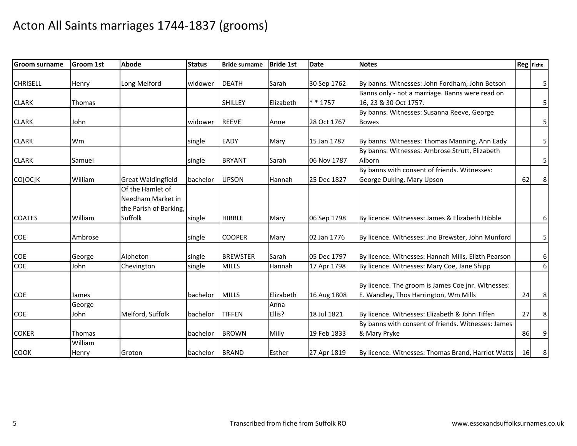| <b>Groom surname</b> | <b>Groom 1st</b> | <b>Abode</b>                                                    | <b>Status</b> | <b>Bride surname</b> | <b>Bride 1st</b> | <b>Date</b> | <b>Notes</b>                                        |    | Reg Fiche |
|----------------------|------------------|-----------------------------------------------------------------|---------------|----------------------|------------------|-------------|-----------------------------------------------------|----|-----------|
|                      |                  |                                                                 |               |                      |                  |             |                                                     |    |           |
| <b>CHRISELL</b>      | Henry            | Long Melford                                                    | widower       | <b>DEATH</b>         | Sarah            | 30 Sep 1762 | By banns. Witnesses: John Fordham, John Betson      |    | 5         |
|                      |                  |                                                                 |               |                      |                  |             | Banns only - not a marriage. Banns were read on     |    |           |
| <b>CLARK</b>         | Thomas           |                                                                 |               | <b>SHILLEY</b>       | Elizabeth        | $* * 1757$  | 16, 23 & 30 Oct 1757.                               |    | 5         |
|                      |                  |                                                                 |               |                      |                  |             | By banns. Witnesses: Susanna Reeve, George          |    |           |
| <b>CLARK</b>         | John             |                                                                 | widower       | <b>REEVE</b>         | Anne             | 28 Oct 1767 | <b>Bowes</b>                                        |    | 5         |
| <b>CLARK</b>         | Wm               |                                                                 | single        | <b>EADY</b>          | Mary             | 15 Jan 1787 | By banns. Witnesses: Thomas Manning, Ann Eady       |    | 5         |
|                      |                  |                                                                 |               |                      |                  |             | By banns. Witnesses: Ambrose Strutt, Elizabeth      |    |           |
| <b>CLARK</b>         | Samuel           |                                                                 | single        | <b>BRYANT</b>        | Sarah            | 06 Nov 1787 | Alborn                                              |    | 5         |
|                      |                  |                                                                 |               |                      |                  |             | By banns with consent of friends. Witnesses:        |    |           |
| CO[OC]K              | William          | <b>Great Waldingfield</b>                                       | bachelor      | <b>UPSON</b>         | Hannah           | 25 Dec 1827 | George Duking, Mary Upson                           | 62 | 8         |
|                      |                  | Of the Hamlet of<br>Needham Market in<br>the Parish of Barking, |               |                      |                  |             |                                                     |    |           |
| <b>COATES</b>        | William          | Suffolk                                                         | single        | <b>HIBBLE</b>        | Mary             | 06 Sep 1798 | By licence. Witnesses: James & Elizabeth Hibble     |    | 6         |
| COE                  | Ambrose          |                                                                 | single        | <b>COOPER</b>        | Mary             | 02 Jan 1776 | By licence. Witnesses: Jno Brewster, John Munford   |    | 5         |
|                      |                  |                                                                 |               |                      |                  |             |                                                     |    |           |
| <b>COE</b>           | George           | Alpheton                                                        | single        | <b>BREWSTER</b>      | Sarah            | 05 Dec 1797 | By licence. Witnesses: Hannah Mills, Elizth Pearson |    | 6         |
| COE                  | John             | Chevington                                                      | single        | <b>MILLS</b>         | Hannah           | 17 Apr 1798 | By licence. Witnesses: Mary Coe, Jane Shipp         |    | 6         |
|                      |                  |                                                                 |               |                      |                  |             | By licence. The groom is James Coe jnr. Witnesses:  |    |           |
| COE                  | James            |                                                                 | bachelor      | <b>MILLS</b>         | Elizabeth        | 16 Aug 1808 | E. Wandley, Thos Harrington, Wm Mills               | 24 | 8         |
| COE                  | George<br>John   | Melford, Suffolk                                                |               | <b>TIFFEN</b>        | Anna<br>Ellis?   | 18 Jul 1821 | By licence. Witnesses: Elizabeth & John Tiffen      | 27 |           |
|                      |                  |                                                                 | bachelor      |                      |                  |             | By banns with consent of friends. Witnesses: James  |    | 8         |
| <b>COKER</b>         | Thomas           |                                                                 |               | <b>BROWN</b>         | Milly            | 19 Feb 1833 | & Mary Pryke                                        | 86 | 9         |
|                      | William          |                                                                 | bachelor      |                      |                  |             |                                                     |    |           |
| <b>COOK</b>          | Henry            | Groton                                                          | bachelor      | <b>BRAND</b>         | Esther           | 27 Apr 1819 | By licence. Witnesses: Thomas Brand, Harriot Watts  | 16 | 8         |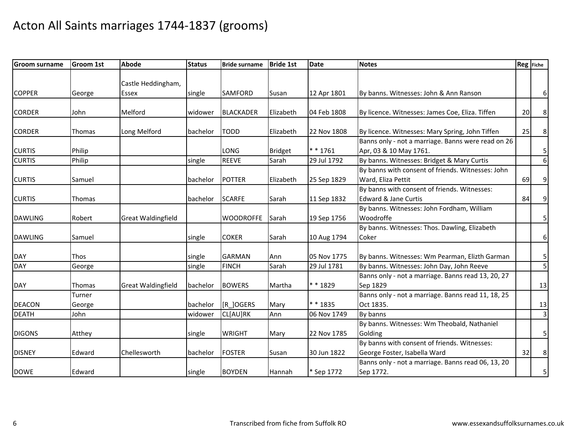| Groom surname  | <b>Groom 1st</b> | <b>Abode</b>              | <b>Status</b> | <b>Bride surname</b> | <b>Bride 1st</b> | <b>Date</b> | <b>Notes</b>                                       | Reg Fiche |                         |
|----------------|------------------|---------------------------|---------------|----------------------|------------------|-------------|----------------------------------------------------|-----------|-------------------------|
|                |                  |                           |               |                      |                  |             |                                                    |           |                         |
|                |                  | Castle Heddingham,        |               |                      |                  |             |                                                    |           |                         |
| <b>COPPER</b>  | George           | Essex                     | single        | <b>SAMFORD</b>       | Susan            | 12 Apr 1801 | By banns. Witnesses: John & Ann Ranson             |           | $6 \mid$                |
|                |                  |                           |               |                      |                  |             |                                                    |           |                         |
| <b>CORDER</b>  | John             | Melford                   | widower       | <b>BLACKADER</b>     | Elizabeth        | 04 Feb 1808 | By licence. Witnesses: James Coe, Eliza. Tiffen    | 20        | 8                       |
| <b>CORDER</b>  | <b>Thomas</b>    | Long Melford              | bachelor      | <b>TODD</b>          | Elizabeth        | 22 Nov 1808 | By licence. Witnesses: Mary Spring, John Tiffen    | 25        | 8                       |
|                |                  |                           |               |                      |                  |             | Banns only - not a marriage. Banns were read on 26 |           |                         |
| <b>CURTIS</b>  | Philip           |                           |               | <b>LONG</b>          | <b>Bridget</b>   | $* * 1761$  | Apr, 03 & 10 May 1761.                             |           | 5                       |
| <b>CURTIS</b>  | Philip           |                           | single        | <b>REEVE</b>         | Sarah            | 29 Jul 1792 | By banns. Witnesses: Bridget & Mary Curtis         |           | 6 <sup>1</sup>          |
|                |                  |                           |               |                      |                  |             | By banns with consent of friends. Witnesses: John  |           |                         |
| <b>CURTIS</b>  | Samuel           |                           | bachelor      | <b>POTTER</b>        | Elizabeth        | 25 Sep 1829 | Ward, Eliza Pettit                                 | 69        | 9                       |
|                |                  |                           |               |                      |                  |             | By banns with consent of friends. Witnesses:       |           |                         |
| <b>CURTIS</b>  | <b>Thomas</b>    |                           | bachelor      | <b>SCARFE</b>        | Sarah            | 11 Sep 1832 | <b>Edward &amp; Jane Curtis</b>                    | 84        | 9                       |
|                |                  |                           |               |                      |                  |             | By banns. Witnesses: John Fordham, William         |           |                         |
| <b>DAWLING</b> | Robert           | <b>Great Waldingfield</b> |               | <b>WOODROFFE</b>     | Sarah            | 19 Sep 1756 | Woodroffe                                          |           | 5 <sub>l</sub>          |
|                |                  |                           |               |                      |                  |             | By banns. Witnesses: Thos. Dawling, Elizabeth      |           |                         |
| <b>DAWLING</b> | Samuel           |                           | single        | <b>COKER</b>         | Sarah            | 10 Aug 1794 | Coker                                              |           | $6 \mid$                |
|                |                  |                           |               |                      |                  |             |                                                    |           |                         |
| <b>DAY</b>     | Thos             |                           | single        | <b>GARMAN</b>        | Ann              | 05 Nov 1775 | By banns. Witnesses: Wm Pearman, Elizth Garman     |           | $\mathsf{5}$            |
| <b>DAY</b>     | George           |                           | single        | <b>FINCH</b>         | Sarah            | 29 Jul 1781 | By banns. Witnesses: John Day, John Reeve          |           | $\overline{\mathbf{5}}$ |
|                |                  |                           |               |                      |                  |             | Banns only - not a marriage. Banns read 13, 20, 27 |           |                         |
| <b>DAY</b>     | <b>Thomas</b>    | <b>Great Waldingfield</b> | bachelor      | <b>BOWERS</b>        | Martha           | * * 1829    | Sep 1829                                           |           | 13                      |
|                | Turner           |                           |               |                      |                  |             | Banns only - not a marriage. Banns read 11, 18, 25 |           |                         |
| <b>DEACON</b>  | George           |                           | bachelor      | [R_]OGERS            | Mary             | * * 1835    | Oct 1835.                                          |           | 13                      |
| <b>DEATH</b>   | John             |                           | widower       | CL[AU]RK             | Ann              | 06 Nov 1749 | By banns                                           |           | $\overline{\mathbf{3}}$ |
|                |                  |                           |               |                      |                  |             | By banns. Witnesses: Wm Theobald, Nathaniel        |           |                         |
| <b>DIGONS</b>  | Atthey           |                           | single        | <b>WRIGHT</b>        | Mary             | 22 Nov 1785 | Golding                                            |           | 5 <sub>l</sub>          |
|                |                  |                           |               |                      |                  |             | By banns with consent of friends. Witnesses:       |           |                         |
| <b>DISNEY</b>  | Edward           | Chellesworth              | bachelor      | <b>FOSTER</b>        | Susan            | 30 Jun 1822 | George Foster, Isabella Ward                       | 32        | 8 <sup>1</sup>          |
|                |                  |                           |               |                      |                  |             | Banns only - not a marriage. Banns read 06, 13, 20 |           |                         |
| <b>DOWE</b>    | Edward           |                           | single        | <b>BOYDEN</b>        | Hannah           | * Sep 1772  | Sep 1772.                                          |           | $\overline{5}$          |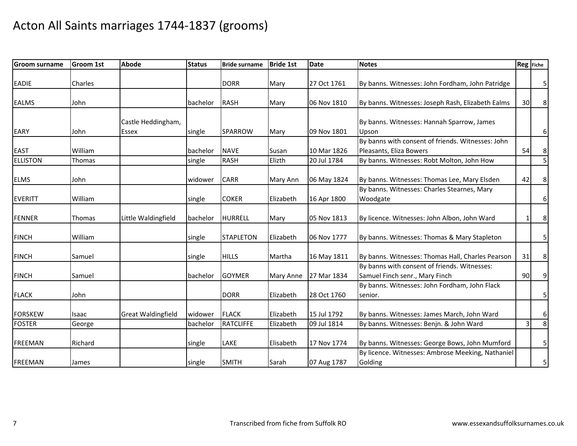| <b>Groom surname</b> | <b>Groom 1st</b> | <b>Abode</b>              | <b>Status</b> | <b>Bride surname</b> | <b>Bride 1st</b> | <b>Date</b> | <b>Notes</b>                                      | Reg Fiche   |                         |
|----------------------|------------------|---------------------------|---------------|----------------------|------------------|-------------|---------------------------------------------------|-------------|-------------------------|
| <b>EADIE</b>         | Charles          |                           |               | <b>DORR</b>          | Mary             | 27 Oct 1761 | By banns. Witnesses: John Fordham, John Patridge  |             | 5 <sub>l</sub>          |
|                      |                  |                           |               |                      |                  |             |                                                   |             |                         |
| <b>EALMS</b>         | John             |                           | bachelor      | <b>RASH</b>          | Mary             | 06 Nov 1810 | By banns. Witnesses: Joseph Rash, Elizabeth Ealms | 30          | 8                       |
|                      |                  |                           |               |                      |                  |             |                                                   |             |                         |
|                      |                  | Castle Heddingham,        |               |                      |                  |             | By banns. Witnesses: Hannah Sparrow, James        |             |                         |
| <b>EARY</b>          | John             | <b>Essex</b>              | single        | <b>SPARROW</b>       | Mary             | 09 Nov 1801 | Upson                                             |             | $6 \mid$                |
|                      |                  |                           |               |                      |                  |             | By banns with consent of friends. Witnesses: John |             |                         |
| <b>EAST</b>          | William          |                           | bachelor      | <b>NAVE</b>          | Susan            | 10 Mar 1826 | Pleasants, Eliza Bowers                           | 54          | $\boldsymbol{8}$        |
| <b>ELLISTON</b>      | Thomas           |                           | single        | <b>RASH</b>          | Elizth           | 20 Jul 1784 | By banns. Witnesses: Robt Molton, John How        |             | $\overline{\mathbf{5}}$ |
|                      |                  |                           |               |                      |                  |             |                                                   |             |                         |
| <b>ELMS</b>          | John             |                           | widower       | <b>CARR</b>          | Mary Ann         | 06 May 1824 | By banns. Witnesses: Thomas Lee, Mary Elsden      | 42          | $\bf 8$                 |
|                      |                  |                           |               |                      |                  |             | By banns. Witnesses: Charles Stearnes, Mary       |             |                         |
| <b>EVERITT</b>       | William          |                           | single        | <b>COKER</b>         | Elizabeth        | 16 Apr 1800 | Woodgate                                          |             | $6 \mid$                |
| <b>FENNER</b>        | Thomas           | Little Waldingfield       | bachelor      | <b>HURRELL</b>       | Mary             | 05 Nov 1813 | By licence. Witnesses: John Albon, John Ward      | $\mathbf 1$ | 8                       |
|                      |                  |                           |               |                      |                  |             |                                                   |             |                         |
| <b>FINCH</b>         | William          |                           | single        | <b>STAPLETON</b>     | Elizabeth        | 06 Nov 1777 | By banns. Witnesses: Thomas & Mary Stapleton      |             | 5 <sub>l</sub>          |
| <b>FINCH</b>         | Samuel           |                           |               | <b>HILLS</b>         | Martha           |             | By banns. Witnesses: Thomas Hall, Charles Pearson | 31          | 8 <sup>1</sup>          |
|                      |                  |                           | single        |                      |                  | 16 May 1811 | By banns with consent of friends. Witnesses:      |             |                         |
|                      |                  |                           |               |                      |                  |             |                                                   |             |                         |
| <b>FINCH</b>         | Samuel           |                           | bachelor      | <b>GOYMER</b>        | Mary Anne        | 27 Mar 1834 | Samuel Finch senr., Mary Finch                    | 90          | 9                       |
|                      |                  |                           |               |                      |                  |             | By banns. Witnesses: John Fordham, John Flack     |             |                         |
| <b>FLACK</b>         | John             |                           |               | <b>DORR</b>          | Elizabeth        | 28 Oct 1760 | senior.                                           |             | 5 <sub>l</sub>          |
| <b>FORSKEW</b>       | Isaac            | <b>Great Waldingfield</b> | widower       | <b>FLACK</b>         | Elizabeth        | 15 Jul 1792 | By banns. Witnesses: James March, John Ward       |             | 6                       |
| <b>FOSTER</b>        | George           |                           | bachelor      | <b>RATCLIFFE</b>     | Elizabeth        | 09 Jul 1814 | By banns. Witnesses: Benjn. & John Ward           | 3           | $\infty$                |
|                      |                  |                           |               |                      |                  |             |                                                   |             |                         |
| <b>FREEMAN</b>       | Richard          |                           | single        | LAKE                 | Elisabeth        | 17 Nov 1774 | By banns. Witnesses: George Bows, John Mumford    |             | 5                       |
|                      |                  |                           |               |                      |                  |             | By licence. Witnesses: Ambrose Meeking, Nathaniel |             |                         |
| <b>FREEMAN</b>       | James            |                           | single        | <b>SMITH</b>         | Sarah            | 07 Aug 1787 | Golding                                           |             | 5 <sub>l</sub>          |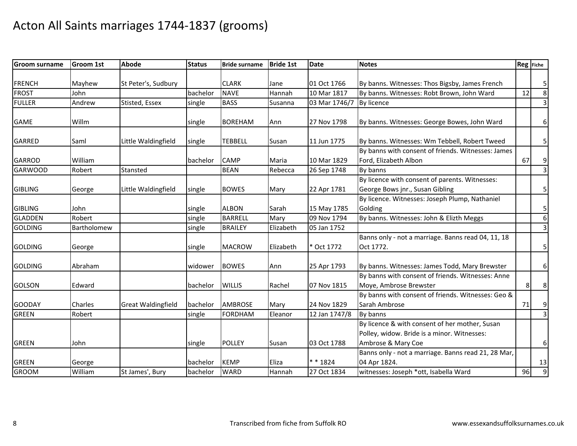| <b>Groom surname</b> | <b>Groom 1st</b> | <b>Abode</b>              | <b>Status</b> | <b>Bride surname</b> | <b>Bride 1st</b> | <b>Date</b>   | <b>Notes</b>                                        |    | Reg Fiche               |
|----------------------|------------------|---------------------------|---------------|----------------------|------------------|---------------|-----------------------------------------------------|----|-------------------------|
|                      |                  |                           |               |                      |                  |               |                                                     |    |                         |
| <b>FRENCH</b>        | Mayhew           | St Peter's, Sudbury       |               | <b>CLARK</b>         | Jane             | 01 Oct 1766   | By banns. Witnesses: Thos Bigsby, James French      |    | $\overline{\mathbf{5}}$ |
| <b>FROST</b>         | John             |                           | bachelor      | <b>NAVE</b>          | Hannah           | 10 Mar 1817   | By banns. Witnesses: Robt Brown, John Ward          | 12 | $\infty$                |
| <b>FULLER</b>        | Andrew           | Stisted, Essex            | single        | <b>BASS</b>          | Susanna          | 03 Mar 1746/7 | By licence                                          |    | $\overline{3}$          |
| <b>GAME</b>          | Willm            |                           | single        | <b>BOREHAM</b>       | Ann              | 27 Nov 1798   | By banns. Witnesses: George Bowes, John Ward        |    | 6                       |
| <b>GARRED</b>        | Saml             | Little Waldingfield       | single        | <b>TEBBELL</b>       | Susan            | 11 Jun 1775   | By banns. Witnesses: Wm Tebbell, Robert Tweed       |    | 5 <sub>l</sub>          |
|                      |                  |                           |               |                      |                  |               | By banns with consent of friends. Witnesses: James  |    |                         |
| <b>GARROD</b>        | William          |                           | bachelor      | <b>CAMP</b>          | Maria            | 10 Mar 1829   | Ford, Elizabeth Albon                               | 67 | 9                       |
| <b>GARWOOD</b>       | Robert           | Stansted                  |               | <b>BEAN</b>          | Rebecca          | 26 Sep 1748   | By banns                                            |    | $\overline{3}$          |
|                      |                  |                           |               |                      |                  |               | By licence with consent of parents. Witnesses:      |    |                         |
| <b>GIBLING</b>       | George           | Little Waldingfield       | single        | <b>BOWES</b>         | Mary             | 22 Apr 1781   | George Bows jnr., Susan Gibling                     |    | 5                       |
|                      |                  |                           |               |                      |                  |               | By licence. Witnesses: Joseph Plump, Nathaniel      |    |                         |
| <b>GIBLING</b>       | John             |                           | single        | <b>ALBON</b>         | Sarah            | 15 May 1785   | Golding                                             |    | 5                       |
| <b>GLADDEN</b>       | Robert           |                           | single        | <b>BARRELL</b>       | Mary             | 09 Nov 1794   | By banns. Witnesses: John & Elizth Meggs            |    | $\sigma$                |
| <b>GOLDING</b>       | Bartholomew      |                           | single        | <b>BRAILEY</b>       | Elizabeth        | 05 Jan 1752   |                                                     |    | $\mathbf{3}$            |
|                      |                  |                           |               |                      |                  |               | Banns only - not a marriage. Banns read 04, 11, 18  |    |                         |
| <b>GOLDING</b>       | George           |                           | single        | <b>MACROW</b>        | Elizabeth        | * Oct 1772    | Oct 1772.                                           |    | 5                       |
| <b>GOLDING</b>       | Abraham          |                           | widower       | <b>BOWES</b>         | Ann              | 25 Apr 1793   | By banns. Witnesses: James Todd, Mary Brewster      |    | 6                       |
|                      |                  |                           |               |                      |                  |               | By banns with consent of friends. Witnesses: Anne   |    |                         |
| <b>GOLSON</b>        | Edward           |                           | bachelor      | <b>WILLIS</b>        | Rachel           | 07 Nov 1815   | Moye, Ambrose Brewster                              | 8  | 8                       |
|                      |                  |                           |               |                      |                  |               | By banns with consent of friends. Witnesses: Geo &  |    |                         |
| <b>GOODAY</b>        | Charles          | <b>Great Waldingfield</b> | bachelor      | <b>AMBROSE</b>       | Mary             | 24 Nov 1829   | Sarah Ambrose                                       | 71 | $\overline{9}$          |
| <b>GREEN</b>         | Robert           |                           | single        | <b>FORDHAM</b>       | Eleanor          | 12 Jan 1747/8 | By banns                                            |    | $\overline{3}$          |
|                      |                  |                           |               |                      |                  |               | By licence & with consent of her mother, Susan      |    |                         |
|                      |                  |                           |               |                      |                  |               | Polley, widow. Bride is a minor. Witnesses:         |    |                         |
| <b>GREEN</b>         | John             |                           | single        | <b>POLLEY</b>        | Susan            | 03 Oct 1788   | Ambrose & Mary Coe                                  |    | $6 \mid$                |
|                      |                  |                           |               |                      |                  |               | Banns only - not a marriage. Banns read 21, 28 Mar, |    |                         |
| <b>GREEN</b>         | George           |                           | bachelor      | <b>KEMP</b>          | Eliza            | * * 1824      | 04 Apr 1824.                                        |    | 13                      |
| <b>GROOM</b>         | William          | St James', Bury           | bachelor      | <b>WARD</b>          | Hannah           | 27 Oct 1834   | witnesses: Joseph *ott, Isabella Ward               | 96 | $\overline{9}$          |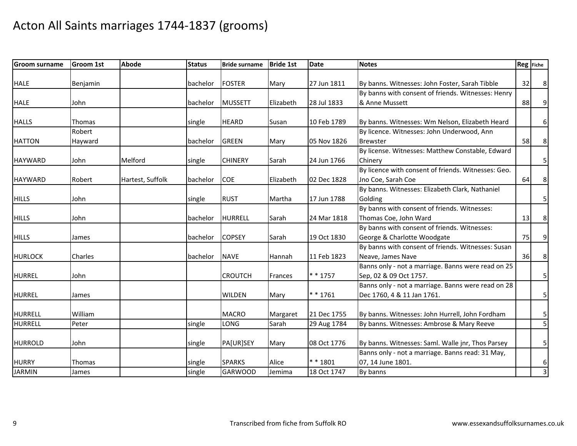| <b>Groom surname</b> | <b>Groom 1st</b> | <b>Abode</b>     | <b>Status</b> | <b>Bride surname</b> | <b>Bride 1st</b> | <b>Date</b> | <b>Notes</b>                                        | Reg Fiche |                         |
|----------------------|------------------|------------------|---------------|----------------------|------------------|-------------|-----------------------------------------------------|-----------|-------------------------|
|                      |                  |                  |               |                      |                  |             |                                                     |           |                         |
| <b>HALE</b>          | <b>Benjamin</b>  |                  | bachelor      | <b>FOSTER</b>        | Mary             | 27 Jun 1811 | By banns. Witnesses: John Foster, Sarah Tibble      | 32        | 8 <sup>1</sup>          |
|                      |                  |                  |               |                      |                  |             | By banns with consent of friends. Witnesses: Henry  |           |                         |
| <b>HALE</b>          | John             |                  | bachelor      | <b>MUSSETT</b>       | Elizabeth        | 28 Jul 1833 | & Anne Mussett                                      | 88        | 9                       |
| <b>HALLS</b>         | Thomas           |                  | single        | <b>HEARD</b>         | Susan            | 10 Feb 1789 | By banns. Witnesses: Wm Nelson, Elizabeth Heard     |           | 6                       |
|                      | Robert           |                  |               |                      |                  |             | By licence. Witnesses: John Underwood, Ann          |           |                         |
| <b>HATTON</b>        | Hayward          |                  | bachelor      | <b>GREEN</b>         | Mary             | 05 Nov 1826 | <b>Brewster</b>                                     | 58        | 8 <sup>1</sup>          |
|                      |                  |                  |               |                      |                  |             | By license. Witnesses: Matthew Constable, Edward    |           |                         |
| <b>HAYWARD</b>       | John             | Melford          | single        | <b>CHINERY</b>       | Sarah            | 24 Jun 1766 | Chinery                                             |           | 5 <sub>l</sub>          |
|                      |                  |                  |               |                      |                  |             | By licence with consent of friends. Witnesses: Geo. |           |                         |
| <b>HAYWARD</b>       | Robert           | Hartest, Suffolk | bachelor      | <b>COE</b>           | Elizabeth        | 02 Dec 1828 | Jno Coe, Sarah Coe                                  | 64        | 8 <sup>1</sup>          |
|                      |                  |                  |               |                      |                  |             | By banns. Witnesses: Elizabeth Clark, Nathaniel     |           |                         |
| <b>HILLS</b>         | John             |                  | single        | <b>RUST</b>          | Martha           | 17 Jun 1788 | Golding                                             |           | 5                       |
|                      |                  |                  |               |                      |                  |             | By banns with consent of friends. Witnesses:        |           |                         |
| <b>HILLS</b>         | John             |                  | bachelor      | <b>HURRELL</b>       | Sarah            | 24 Mar 1818 | Thomas Coe, John Ward                               | 13        | 8 <sup>1</sup>          |
|                      |                  |                  |               |                      |                  |             | By banns with consent of friends. Witnesses:        |           |                         |
| <b>HILLS</b>         | James            |                  | bachelor      | <b>COPSEY</b>        | Sarah            | 19 Oct 1830 | George & Charlotte Woodgate                         | 75        | 9                       |
|                      |                  |                  |               |                      |                  |             | By banns with consent of friends. Witnesses: Susan  |           |                         |
| <b>HURLOCK</b>       | Charles          |                  | bachelor      | <b>NAVE</b>          | Hannah           | 11 Feb 1823 | Neave, James Nave                                   | 36        | 8 <sup>°</sup>          |
|                      |                  |                  |               |                      |                  |             | Banns only - not a marriage. Banns were read on 25  |           |                         |
| <b>HURREL</b>        | John             |                  |               | <b>CROUTCH</b>       | Frances          | * * 1757    | Sep, 02 & 09 Oct 1757.                              |           | 5                       |
|                      |                  |                  |               |                      |                  |             | Banns only - not a marriage. Banns were read on 28  |           |                         |
| <b>HURREL</b>        | James            |                  |               | <b>WILDEN</b>        | Mary             | $* * 1761$  | Dec 1760, 4 & 11 Jan 1761.                          |           | $\overline{\mathbf{5}}$ |
| <b>HURRELL</b>       | William          |                  |               | <b>MACRO</b>         | Margaret         | 21 Dec 1755 | By banns. Witnesses: John Hurrell, John Fordham     |           | 5                       |
| <b>HURRELL</b>       | Peter            |                  | single        | <b>LONG</b>          | Sarah            | 29 Aug 1784 | By banns. Witnesses: Ambrose & Mary Reeve           |           | $\overline{5}$          |
|                      |                  |                  |               |                      |                  |             |                                                     |           |                         |
| <b>HURROLD</b>       | John             |                  | single        | PA[UR]SEY            | Mary             | 08 Oct 1776 | By banns. Witnesses: Saml. Walle jnr, Thos Parsey   |           | 5 <sub>l</sub>          |
|                      |                  |                  |               |                      |                  |             | Banns only - not a marriage. Banns read: 31 May,    |           |                         |
| <b>HURRY</b>         | <b>Thomas</b>    |                  | single        | <b>SPARKS</b>        | Alice            | ** 1801     | 07, 14 June 1801.                                   |           | $6 \mid$                |
| <b>JARMIN</b>        | James            |                  | single        | <b>GARWOOD</b>       | Jemima           | 18 Oct 1747 | By banns                                            |           | $\overline{3}$          |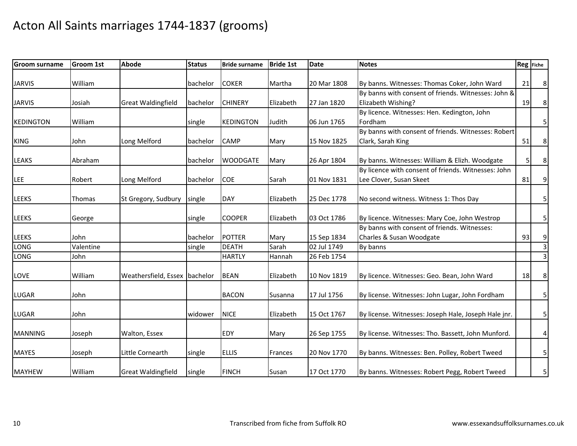| <b>Groom surname</b> | <b>Groom 1st</b>  | <b>Abode</b>                  | <b>Status</b> | <b>Bride surname</b>          | <b>Bride 1st</b> | <b>Date</b>                | <b>Notes</b>                                                                   |    | Reg Fiche                        |
|----------------------|-------------------|-------------------------------|---------------|-------------------------------|------------------|----------------------------|--------------------------------------------------------------------------------|----|----------------------------------|
| <b>JARVIS</b>        | William           |                               | bachelor      | <b>COKER</b>                  | Martha           | 20 Mar 1808                | By banns. Witnesses: Thomas Coker, John Ward                                   | 21 | $\bf 8$                          |
| <b>JARVIS</b>        | Josiah            | <b>Great Waldingfield</b>     | bachelor      | <b>CHINERY</b>                | Elizabeth        | 27 Jan 1820                | By banns with consent of friends. Witnesses: John &<br>Elizabeth Wishing?      | 19 | 8 <sup>°</sup>                   |
| <b>KEDINGTON</b>     | William           |                               | single        | <b>KEDINGTON</b>              | Judith           | 06 Jun 1765                | By licence. Witnesses: Hen. Kedington, John<br>Fordham                         |    | 5                                |
| <b>KING</b>          | John              | Long Melford                  | bachelor      | <b>CAMP</b>                   | Mary             | 15 Nov 1825                | By banns with consent of friends. Witnesses: Robert<br>Clark, Sarah King       | 51 | $\bf 8$                          |
| <b>LEAKS</b>         | Abraham           |                               | bachelor      | <b>WOODGATE</b>               | Mary             | 26 Apr 1804                | By banns. Witnesses: William & Elizh. Woodgate                                 | 5  | $\bf 8$                          |
| LEE                  | Robert            | Long Melford                  | bachelor      | <b>COE</b>                    | Sarah            | 01 Nov 1831                | By licence with consent of friends. Witnesses: John<br>Lee Clover, Susan Skeet | 81 | 9                                |
| <b>LEEKS</b>         | Thomas            | St Gregory, Sudbury           | single        | <b>DAY</b>                    | Elizabeth        | 25 Dec 1778                | No second witness. Witness 1: Thos Day                                         |    | 5                                |
| <b>LEEKS</b>         | George            |                               | single        | <b>COOPER</b>                 | Elizabeth        | 03 Oct 1786                | By licence. Witnesses: Mary Coe, John Westrop                                  |    | $\mathsf{5}$                     |
| <b>LEEKS</b>         | John              |                               | bachelor      | <b>POTTER</b>                 | Mary             | 15 Sep 1834                | By banns with consent of friends. Witnesses:<br>Charles & Susan Woodgate       | 93 | 9                                |
| LONG<br><b>LONG</b>  | Valentine<br>John |                               | single        | <b>DEATH</b><br><b>HARTLY</b> | Sarah<br>Hannah  | 02 Jul 1749<br>26 Feb 1754 | By banns                                                                       |    | $\overline{3}$<br>$\overline{3}$ |
| LOVE                 | William           | Weathersfield, Essex bachelor |               | <b>BEAN</b>                   | Elizabeth        | 10 Nov 1819                | By licence. Witnesses: Geo. Bean, John Ward                                    | 18 | 8 <sub>o</sub>                   |
| <b>LUGAR</b>         | John              |                               |               | <b>BACON</b>                  | Susanna          | 17 Jul 1756                | By license. Witnesses: John Lugar, John Fordham                                |    | 5 <sub>l</sub>                   |
| <b>LUGAR</b>         | John              |                               | widower       | <b>NICE</b>                   | Elizabeth        | 15 Oct 1767                | By license. Witnesses: Joseph Hale, Joseph Hale jnr.                           |    | 5 <sub>l</sub>                   |
| <b>MANNING</b>       | Joseph            | Walton, Essex                 |               | <b>EDY</b>                    | Mary             | 26 Sep 1755                | By license. Witnesses: Tho. Bassett, John Munford.                             |    | $\overline{4}$                   |
| <b>MAYES</b>         | Joseph            | Little Cornearth              | single        | <b>ELLIS</b>                  | Frances          | 20 Nov 1770                | By banns. Witnesses: Ben. Polley, Robert Tweed                                 |    | 5 <sub>l</sub>                   |
| <b>MAYHEW</b>        | William           | <b>Great Waldingfield</b>     | single        | <b>FINCH</b>                  | Susan            | 17 Oct 1770                | By banns. Witnesses: Robert Pegg, Robert Tweed                                 |    | $\overline{5}$                   |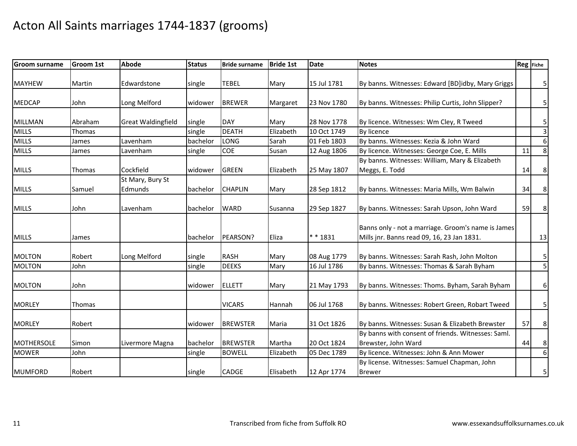| <b>Groom surname</b> | <b>Groom 1st</b> | <b>Abode</b>              | <b>Status</b> | <b>Bride surname</b> | <b>Bride 1st</b> | <b>Date</b> | <b>Notes</b>                                       |    | Reg Fiche        |
|----------------------|------------------|---------------------------|---------------|----------------------|------------------|-------------|----------------------------------------------------|----|------------------|
|                      |                  |                           |               |                      |                  |             |                                                    |    |                  |
| <b>MAYHEW</b>        | Martin           | Edwardstone               | single        | <b>TEBEL</b>         | Mary             | 15 Jul 1781 | By banns. Witnesses: Edward [BD]idby, Mary Griggs  |    | $\mathbf{5}$     |
| <b>MEDCAP</b>        | John             | Long Melford              | widower       | <b>BREWER</b>        | Margaret         | 23 Nov 1780 | By banns. Witnesses: Philip Curtis, John Slipper?  |    | $\mathbf{5}$     |
|                      |                  |                           |               |                      |                  |             |                                                    |    |                  |
| <b>MILLMAN</b>       | Abraham          | <b>Great Waldingfield</b> | single        | <b>DAY</b>           | Mary             | 28 Nov 1778 | By licence. Witnesses: Wm Cley, R Tweed            |    | 5                |
| <b>MILLS</b>         | Thomas           |                           | single        | <b>DEATH</b>         | Elizabeth        | 10 Oct 1749 | By licence                                         |    | $\overline{3}$   |
| <b>MILLS</b>         | James            | Lavenham                  | bachelor      | <b>LONG</b>          | Sarah            | 01 Feb 1803 | By banns. Witnesses: Kezia & John Ward             |    | $\boldsymbol{6}$ |
| <b>MILLS</b>         | James            | Lavenham                  | single        | COE                  | Susan            | 12 Aug 1806 | By licence. Witnesses: George Coe, E. Mills        | 11 | $\,8\,$          |
|                      |                  |                           |               |                      |                  |             | By banns. Witnesses: William, Mary & Elizabeth     |    |                  |
| <b>MILLS</b>         | <b>Thomas</b>    | Cockfield                 | widower       | <b>GREEN</b>         | Elizabeth        | 25 May 1807 | Meggs, E. Todd                                     | 14 | $\bf 8$          |
|                      |                  | St Mary, Bury St          |               |                      |                  |             |                                                    |    |                  |
| <b>MILLS</b>         | Samuel           | Edmunds                   | bachelor      | <b>CHAPLIN</b>       | Mary             | 28 Sep 1812 | By banns. Witnesses: Maria Mills, Wm Balwin        | 34 | 8                |
|                      |                  |                           |               |                      |                  |             |                                                    |    |                  |
| <b>MILLS</b>         | John             | Lavenham                  | bachelor      | <b>WARD</b>          | Susanna          | 29 Sep 1827 | By banns. Witnesses: Sarah Upson, John Ward        | 59 | 8                |
|                      |                  |                           |               |                      |                  |             |                                                    |    |                  |
|                      |                  |                           |               |                      |                  |             | Banns only - not a marriage. Groom's name is James |    |                  |
| <b>MILLS</b>         | James            |                           | bachelor      | PEARSON?             | Eliza            | ** 1831     | Mills jnr. Banns read 09, 16, 23 Jan 1831.         |    | 13               |
|                      |                  |                           |               |                      |                  |             |                                                    |    |                  |
| <b>MOLTON</b>        | Robert           | Long Melford              | single        | <b>RASH</b>          | Mary             | 08 Aug 1779 | By banns. Witnesses: Sarah Rash, John Molton       |    | 5                |
| <b>MOLTON</b>        | John             |                           | single        | <b>DEEKS</b>         | Mary             | 16 Jul 1786 | By banns. Witnesses: Thomas & Sarah Byham          |    | $\overline{5}$   |
|                      |                  |                           |               |                      |                  |             |                                                    |    |                  |
| <b>MOLTON</b>        | John             |                           | widower       | <b>ELLETT</b>        | Mary             | 21 May 1793 | By banns. Witnesses: Thoms. Byham, Sarah Byham     |    | 6                |
| <b>MORLEY</b>        | <b>Thomas</b>    |                           |               | <b>VICARS</b>        | Hannah           | 06 Jul 1768 | By banns. Witnesses: Robert Green, Robart Tweed    |    | $\overline{5}$   |
|                      |                  |                           |               |                      |                  |             |                                                    |    |                  |
| <b>MORLEY</b>        | Robert           |                           | widower       | <b>BREWSTER</b>      | Maria            | 31 Oct 1826 | By banns. Witnesses: Susan & Elizabeth Brewster    | 57 | $\bf 8$          |
|                      |                  |                           |               |                      |                  |             | By banns with consent of friends. Witnesses: Saml. |    |                  |
| <b>MOTHERSOLE</b>    | Simon            | Livermore Magna           | bachelor      | <b>BREWSTER</b>      | Martha           | 20 Oct 1824 | Brewster, John Ward                                | 44 | 8                |
| <b>MOWER</b>         | John             |                           | single        | <b>BOWELL</b>        | Elizabeth        | 05 Dec 1789 | By licence. Witnesses: John & Ann Mower            |    | $\sigma$         |
|                      |                  |                           |               |                      |                  |             | By license. Witnesses: Samuel Chapman, John        |    |                  |
| <b>MUMFORD</b>       | Robert           |                           | single        | CADGE                | Elisabeth        | 12 Apr 1774 | <b>Brewer</b>                                      |    | $\overline{5}$   |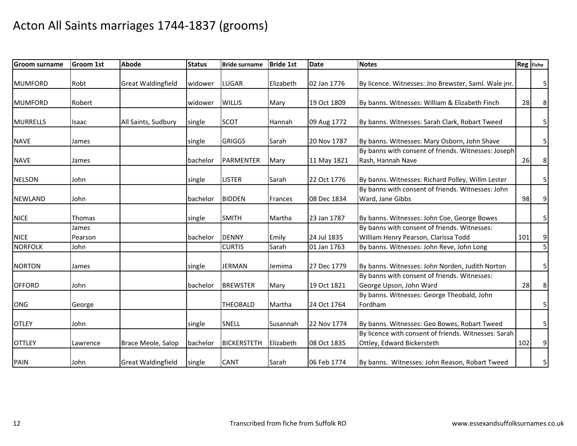| <b>Groom surname</b> | Groom 1st | <b>Abode</b>              | <b>Status</b> | <b>Bride surname</b> | <b>Bride 1st</b> | <b>Date</b> | <b>Notes</b>                                         |     | Reg Fiche      |
|----------------------|-----------|---------------------------|---------------|----------------------|------------------|-------------|------------------------------------------------------|-----|----------------|
|                      |           |                           |               |                      |                  |             |                                                      |     |                |
| <b>MUMFORD</b>       | Robt      | <b>Great Waldingfield</b> | widower       | <b>LUGAR</b>         | Elizabeth        | 02 Jan 1776 | By licence. Witnesses: Jno Brewster, Saml. Wale jnr. |     | 5 <sub>l</sub> |
| <b>MUMFORD</b>       | Robert    |                           | widower       | <b>WILLIS</b>        | Mary             | 19 Oct 1809 | By banns. Witnesses: William & Elizabeth Finch       | 28  | 8              |
|                      |           |                           |               |                      |                  |             |                                                      |     |                |
| <b>MURRELLS</b>      | Isaac     | All Saints, Sudbury       | single        | <b>SCOT</b>          | Hannah           | 09 Aug 1772 | By banns. Witnesses: Sarah Clark, Robart Tweed       |     | 5              |
| <b>NAVE</b>          | James     |                           | single        | <b>GRIGGS</b>        | Sarah            | 20 Nov 1787 | By banns. Witnesses: Mary Osborn, John Shave         |     | 5              |
|                      |           |                           |               |                      |                  |             | By banns with consent of friends. Witnesses: Joseph  |     |                |
| <b>NAVE</b>          | James     |                           | bachelor      | <b>PARMENTER</b>     | Mary             | 11 May 1821 | Rash, Hannah Nave                                    | 26  | 8              |
| <b>NELSON</b>        | John      |                           | single        | <b>LISTER</b>        | Sarah            | 22 Oct 1776 | By banns. Witnesses: Richard Polley, Willm Lester    |     | 5              |
|                      |           |                           |               |                      |                  |             | By banns with consent of friends. Witnesses: John    |     |                |
| <b>NEWLAND</b>       | John      |                           | bachelor      | <b>BIDDEN</b>        |                  | 08 Dec 1834 | Ward, Jane Gibbs                                     | 98  |                |
|                      |           |                           |               |                      | Frances          |             |                                                      |     | 9              |
| <b>NICE</b>          | Thomas    |                           | single        | <b>SMITH</b>         | Martha           | 23 Jan 1787 | By banns. Witnesses: John Coe, George Bowes          |     | 5              |
|                      | James     |                           |               |                      |                  |             | By banns with consent of friends. Witnesses:         |     |                |
| <b>NICE</b>          | Pearson   |                           | bachelor      | <b>DENNY</b>         | Emily            | 24 Jul 1835 | William Henry Pearson, Clarissa Todd                 | 101 | 9              |
| <b>NORFOLK</b>       | John      |                           |               | <b>CURTIS</b>        | Sarah            | 01 Jan 1763 | By banns. Witnesses: John Reve, John Long            |     | $\overline{5}$ |
|                      |           |                           |               |                      |                  |             |                                                      |     |                |
| <b>NORTON</b>        | James     |                           | single        | <b>JERMAN</b>        | Jemima           | 27 Dec 1779 | By banns. Witnesses: John Norden, Judith Norton      |     | 5              |
|                      |           |                           |               |                      |                  |             | By banns with consent of friends. Witnesses:         |     |                |
| <b>OFFORD</b>        | John      |                           | bachelor      | <b>BREWSTER</b>      | Mary             | 19 Oct 1821 | George Upson, John Ward                              | 28  | 8              |
|                      |           |                           |               |                      |                  |             | By banns. Witnesses: George Theobald, John           |     |                |
| ONG                  | George    |                           |               | <b>THEOBALD</b>      | Martha           | 24 Oct 1764 | Fordham                                              |     | $\mathbf{5}$   |
|                      |           |                           |               |                      |                  |             |                                                      |     |                |
| <b>OTLEY</b>         | John      |                           | single        | SNELL                | Susannah         | 22 Nov 1774 | By banns. Witnesses: Geo Bowes, Robart Tweed         |     | 5              |
|                      |           |                           |               |                      |                  |             | By licence with consent of friends. Witnesses: Sarah |     |                |
| <b>OTTLEY</b>        | Lawrence  | Brace Meole, Salop        | bachelor      | <b>BICKERSTETH</b>   | Elizabeth        | 08 Oct 1835 | Ottley, Edward Bickersteth                           | 102 | 9              |
| PAIN                 | John      | <b>Great Waldingfield</b> | single        | <b>CANT</b>          | Sarah            | 06 Feb 1774 | By banns. Witnesses: John Reason, Robart Tweed       |     | $\mathsf{5}$   |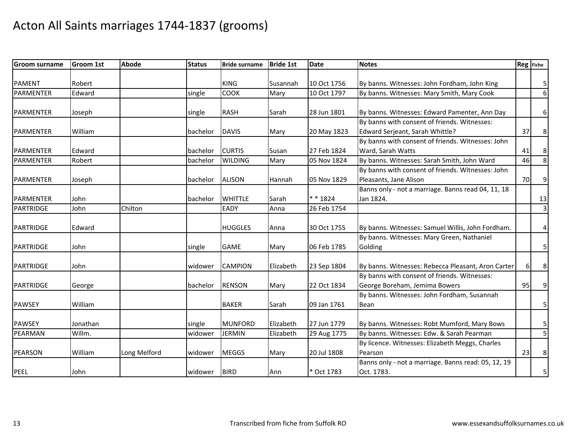| <b>Groom surname</b> | <b>Groom 1st</b> | <b>Abode</b> | <b>Status</b> | <b>Bride surname</b> | <b>Bride 1st</b> | <b>Date</b> | <b>Notes</b>                                        |    | Reg Fiche               |
|----------------------|------------------|--------------|---------------|----------------------|------------------|-------------|-----------------------------------------------------|----|-------------------------|
|                      |                  |              |               |                      |                  |             |                                                     |    |                         |
| <b>PAMENT</b>        | Robert           |              |               | <b>KING</b>          | Susannah         | 10 Oct 1756 | By banns. Witnesses: John Fordham, John King        |    | $\overline{\mathbf{5}}$ |
| <b>PARMENTER</b>     | Edward           |              | single        | COOK                 | Mary             | 10 Oct 1797 | By banns. Witnesses: Mary Smith, Mary Cook          |    | 6 <sup>1</sup>          |
|                      |                  |              |               |                      |                  |             |                                                     |    |                         |
| <b>PARMENTER</b>     | Joseph           |              | single        | <b>RASH</b>          | Sarah            | 28 Jun 1801 | By banns. Witnesses: Edward Pamenter, Ann Day       |    | $6 \mid$                |
|                      |                  |              |               |                      |                  |             | By banns with consent of friends. Witnesses:        |    |                         |
| <b>PARMENTER</b>     | William          |              | bachelor      | <b>DAVIS</b>         | Mary             | 20 May 1823 | Edward Serjeant, Sarah Whittle?                     | 37 | 8 <sup>1</sup>          |
|                      |                  |              |               |                      |                  |             | By banns with consent of friends. Witnesses: John   |    |                         |
| <b>PARMENTER</b>     | Edward           |              | bachelor      | <b>CURTIS</b>        | Susan            | 27 Feb 1824 | Ward, Sarah Watts                                   | 41 | 8 <sup>1</sup>          |
| <b>PARMENTER</b>     | Robert           |              | bachelor      | <b>WILDING</b>       | Mary             | 05 Nov 1824 | By banns. Witnesses: Sarah Smith, John Ward         | 46 | $\infty$                |
|                      |                  |              |               |                      |                  |             | By banns with consent of friends. Witnesses: John   |    |                         |
| <b>PARMENTER</b>     | Joseph           |              | bachelor      | <b>ALISON</b>        | Hannah           | 05 Nov 1829 | Pleasants, Jane Alison                              | 70 | 9                       |
|                      |                  |              |               |                      |                  |             | Banns only - not a marriage. Banns read 04, 11, 18  |    |                         |
| <b>PARMENTER</b>     | John             |              | bachelor      | <b>WHITTLE</b>       | Sarah            | $* * 1824$  | Jan 1824.                                           |    | 13                      |
| <b>PARTRIDGE</b>     | John             | Chilton      |               | <b>EADY</b>          | Anna             | 26 Feb 1754 |                                                     |    | $\overline{3}$          |
| <b>PARTRIDGE</b>     | Edward           |              |               | <b>HUGGLES</b>       | Anna             | 30 Oct 1755 | By banns. Witnesses: Samuel Willis, John Fordham.   |    | $4\vert$                |
|                      |                  |              |               |                      |                  |             | By banns. Witnesses: Mary Green, Nathaniel          |    |                         |
| <b>PARTRIDGE</b>     | John             |              | single        | <b>GAME</b>          | Mary             | 06 Feb 1785 | Golding                                             |    | 5 <sub>l</sub>          |
| <b>PARTRIDGE</b>     | John             |              | widower       | <b>CAMPION</b>       | Elizabeth        | 23 Sep 1804 | By banns. Witnesses: Rebecca Pleasant, Aron Carter  | 6  | 8 <sup>1</sup>          |
|                      |                  |              |               |                      |                  |             | By banns with consent of friends. Witnesses:        |    |                         |
| <b>PARTRIDGE</b>     | George           |              | bachelor      | <b>RENSON</b>        | Mary             | 22 Oct 1834 | George Boreham, Jemima Bowers                       | 95 | 9                       |
|                      |                  |              |               |                      |                  |             | By banns. Witnesses: John Fordham, Susannah         |    |                         |
| <b>PAWSEY</b>        | William          |              |               | <b>BAKER</b>         | Sarah            | 09 Jan 1761 | Bean                                                |    | 5 <sub>l</sub>          |
| <b>PAWSEY</b>        | Jonathan         |              | single        | <b>MUNFORD</b>       | Elizabeth        | 27 Jun 1779 | By banns. Witnesses: Robt Mumford, Mary Bows        |    | $\mathbf{5}$            |
| PEARMAN              | Willm.           |              | widower       | <b>JERMIN</b>        | Elizabeth        | 29 Aug 1775 | By banns. Witnesses: Edw. & Sarah Pearman           |    | $\overline{5}$          |
|                      |                  |              |               |                      |                  |             | By licence. Witnesses: Elizabeth Meggs, Charles     |    |                         |
| <b>PEARSON</b>       | William          | Long Melford | widower       | <b>MEGGS</b>         | Mary             | 20 Jul 1808 | Pearson                                             | 23 | 8 <sup>1</sup>          |
|                      |                  |              |               |                      |                  |             | Banns only - not a marriage. Banns read: 05, 12, 19 |    |                         |
| PEEL                 | John             |              | widower       | <b>BIRD</b>          | Ann              | * Oct 1783  | Oct. 1783.                                          |    | $\overline{5}$          |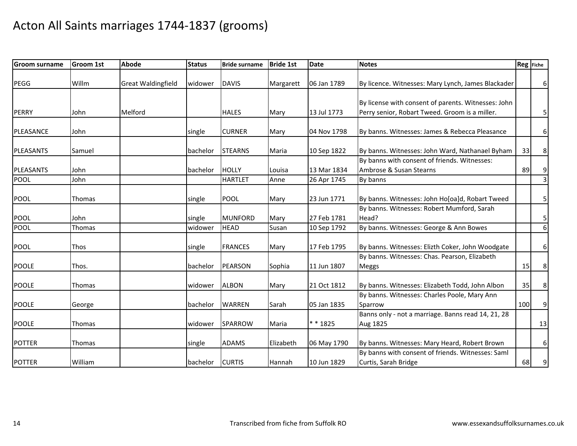| <b>Groom surname</b> | <b>Groom 1st</b> | <b>Abode</b>              | <b>Status</b> | <b>Bride surname</b> | <b>Bride 1st</b> | <b>Date</b> | <b>Notes</b>                                                              |     | Reg Fiche        |
|----------------------|------------------|---------------------------|---------------|----------------------|------------------|-------------|---------------------------------------------------------------------------|-----|------------------|
| PEGG                 | Willm            | <b>Great Waldingfield</b> | widower       | <b>DAVIS</b>         | Margarett        | 06 Jan 1789 | By licence. Witnesses: Mary Lynch, James Blackader                        |     | $6 \mid$         |
|                      |                  |                           |               |                      |                  |             | By license with consent of parents. Witnesses: John                       |     |                  |
| PERRY                | John             | Melford                   |               | <b>HALES</b>         | Mary             | 13 Jul 1773 | Perry senior, Robart Tweed. Groom is a miller.                            |     | $\mathbf{5}$     |
| PLEASANCE            | John             |                           | single        | <b>CURNER</b>        | Mary             | 04 Nov 1798 | By banns. Witnesses: James & Rebecca Pleasance                            |     | $6 \mid$         |
| PLEASANTS            | Samuel           |                           | bachelor      | <b>STEARNS</b>       | Maria            | 10 Sep 1822 | By banns. Witnesses: John Ward, Nathanael Byham                           | 33  | 8 <sup>°</sup>   |
| <b>PLEASANTS</b>     | John             |                           | bachelor      | <b>HOLLY</b>         | Louisa           | 13 Mar 1834 | By banns with consent of friends. Witnesses:<br>Ambrose & Susan Stearns   | 89  | 9                |
| <b>POOL</b>          | John             |                           |               | <b>HARTLET</b>       | Anne             | 26 Apr 1745 | By banns                                                                  |     | $\overline{3}$   |
| <b>POOL</b>          | <b>Thomas</b>    |                           | single        | POOL                 | Mary             | 23 Jun 1771 | By banns. Witnesses: John Ho[oa]d, Robart Tweed                           |     | 5 <sub>l</sub>   |
| <b>POOL</b>          | John             |                           | single        | <b>MUNFORD</b>       | Mary             | 27 Feb 1781 | By banns. Witnesses: Robert Mumford, Sarah<br>Head?                       |     | $\mathbf{5}$     |
| <b>POOL</b>          | Thomas           |                           | widower       | <b>HEAD</b>          | Susan            | 10 Sep 1792 | By banns. Witnesses: George & Ann Bowes                                   |     | $\boldsymbol{6}$ |
| <b>POOL</b>          | Thos             |                           | single        | <b>FRANCES</b>       | Mary             | 17 Feb 1795 | By banns. Witnesses: Elizth Coker, John Woodgate                          |     | $6\vert$         |
| <b>POOLE</b>         | Thos.            |                           | bachelor      | <b>PEARSON</b>       | Sophia           | 11 Jun 1807 | By banns. Witnesses: Chas. Pearson, Elizabeth<br>Meggs                    | 15  | 8 <sup>1</sup>   |
| <b>POOLE</b>         | <b>Thomas</b>    |                           | widower       | <b>ALBON</b>         | Mary             | 21 Oct 1812 | By banns. Witnesses: Elizabeth Todd, John Albon                           | 35  | 8 <sup>1</sup>   |
| <b>POOLE</b>         | George           |                           | bachelor      | <b>WARREN</b>        | Sarah            | 05 Jan 1835 | By banns. Witnesses: Charles Poole, Mary Ann<br>Sparrow                   | 100 | 9                |
| <b>POOLE</b>         | <b>Thomas</b>    |                           | widower       | SPARROW              | Maria            | * * 1825    | Banns only - not a marriage. Banns read 14, 21, 28<br>Aug 1825            |     | 13               |
| <b>POTTER</b>        | Thomas           |                           | single        | <b>ADAMS</b>         | Elizabeth        | 06 May 1790 | By banns. Witnesses: Mary Heard, Robert Brown                             |     | $6 \mid$         |
| <b>POTTER</b>        | William          |                           | bachelor      | <b>CURTIS</b>        | Hannah           | 10 Jun 1829 | By banns with consent of friends. Witnesses: Saml<br>Curtis, Sarah Bridge | 68  | 9                |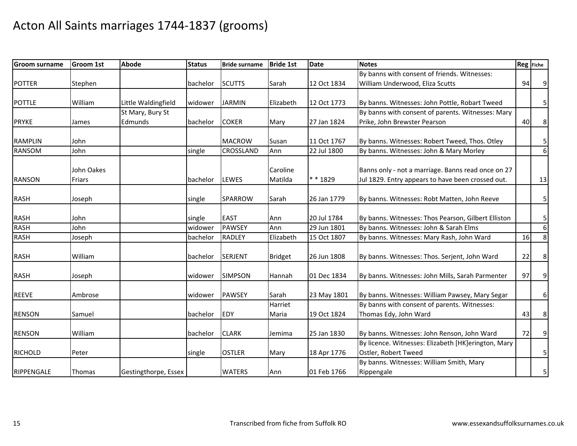| <b>Groom surname</b> | <b>Groom 1st</b> | <b>Abode</b>         | <b>Status</b> | <b>Bride surname</b> | <b>Bride 1st</b> | <b>Date</b> | <b>Notes</b>                                        | Reg Fiche |                         |
|----------------------|------------------|----------------------|---------------|----------------------|------------------|-------------|-----------------------------------------------------|-----------|-------------------------|
|                      |                  |                      |               |                      |                  |             | By banns with consent of friends. Witnesses:        |           |                         |
| <b>POTTER</b>        | Stephen          |                      | bachelor      | <b>SCUTTS</b>        | Sarah            | 12 Oct 1834 | William Underwood, Eliza Scutts                     | 94        | 9                       |
|                      |                  |                      |               |                      |                  |             |                                                     |           |                         |
| <b>POTTLE</b>        | William          | Little Waldingfield  | widower       | <b>JARMIN</b>        | Elizabeth        | 12 Oct 1773 | By banns. Witnesses: John Pottle, Robart Tweed      |           | 5 <sub>l</sub>          |
|                      |                  | St Mary, Bury St     |               |                      |                  |             | By banns with consent of parents. Witnesses: Mary   |           |                         |
| <b>PRYKE</b>         | James            | Edmunds              | bachelor      | <b>COKER</b>         | Mary             | 27 Jan 1824 | Prike, John Brewster Pearson                        | 40        | $\bf 8$                 |
| <b>RAMPLIN</b>       | John             |                      |               | <b>MACROW</b>        |                  |             | By banns. Witnesses: Robert Tweed, Thos. Otley      |           |                         |
|                      |                  |                      |               |                      | Susan            | 11 Oct 1767 |                                                     |           | $\overline{\mathbf{5}}$ |
| <b>RANSOM</b>        | John             |                      | single        | <b>CROSSLAND</b>     | Ann              | 22 Jul 1800 | By banns. Witnesses: John & Mary Morley             |           | 6 <sup>1</sup>          |
|                      | John Oakes       |                      |               |                      | Caroline         |             | Banns only - not a marriage. Banns read once on 27  |           |                         |
| <b>RANSON</b>        | Friars           |                      | bachelor      | <b>LEWES</b>         | Matilda          | * * 1829    | Jul 1829. Entry appears to have been crossed out.   |           | 13                      |
|                      |                  |                      |               |                      |                  |             |                                                     |           |                         |
| <b>RASH</b>          | Joseph           |                      | single        | <b>SPARROW</b>       | Sarah            | 26 Jan 1779 | By banns. Witnesses: Robt Matten, John Reeve        |           | $\mathsf{5}$            |
|                      |                  |                      |               |                      |                  |             |                                                     |           |                         |
| <b>RASH</b>          | John             |                      | single        | <b>EAST</b>          | Ann              | 20 Jul 1784 | By banns. Witnesses: Thos Pearson, Gilbert Elliston |           | $\mathbf{5}$            |
| <b>RASH</b>          | John             |                      | widower       | <b>PAWSEY</b>        | Ann              | 29 Jun 1801 | By banns. Witnesses: John & Sarah Elms              |           | $6 \overline{6}$        |
| <b>RASH</b>          | Joseph           |                      | bachelor      | <b>RADLEY</b>        | Elizabeth        | 15 Oct 1807 | By banns. Witnesses: Mary Rash, John Ward           | 16        | $\infty$                |
|                      |                  |                      |               |                      |                  |             |                                                     |           |                         |
| <b>RASH</b>          | William          |                      | bachelor      | <b>SERJENT</b>       | <b>Bridget</b>   | 26 Jun 1808 | By banns. Witnesses: Thos. Serjent, John Ward       | 22        | $\bf 8$                 |
| <b>RASH</b>          | Joseph           |                      | widower       | <b>SIMPSON</b>       | Hannah           | 01 Dec 1834 | By banns. Witnesses: John Mills, Sarah Parmenter    | 97        | $\overline{9}$          |
|                      |                  |                      |               |                      |                  |             |                                                     |           |                         |
| <b>REEVE</b>         | Ambrose          |                      | widower       | <b>PAWSEY</b>        | Sarah            | 23 May 1801 | By banns. Witnesses: William Pawsey, Mary Segar     |           | $6 \mid$                |
|                      |                  |                      |               |                      | Harriet          |             | By banns with consent of parents. Witnesses:        |           |                         |
| <b>RENSON</b>        | Samuel           |                      | bachelor      | <b>EDY</b>           | Maria            | 19 Oct 1824 | Thomas Edy, John Ward                               | 43        | 8 <sup>1</sup>          |
|                      |                  |                      |               |                      |                  |             |                                                     |           |                         |
| <b>RENSON</b>        | William          |                      | bachelor      | <b>CLARK</b>         | Jemima           | 25 Jan 1830 | By banns. Witnesses: John Renson, John Ward         | 72        | $\overline{9}$          |
|                      |                  |                      |               |                      |                  |             | By licence. Witnesses: Elizabeth [HK]erington, Mary |           |                         |
| <b>RICHOLD</b>       | Peter            |                      | single        | <b>OSTLER</b>        | Mary             | 18 Apr 1776 | Ostler, Robert Tweed                                |           | $\mathsf{5}$            |
|                      |                  |                      |               |                      |                  |             | By banns. Witnesses: William Smith, Mary            |           |                         |
| RIPPENGALE           | Thomas           | Gestingthorpe, Essex |               | <b>WATERS</b>        | Ann              | 01 Feb 1766 | Rippengale                                          |           | $\overline{5}$          |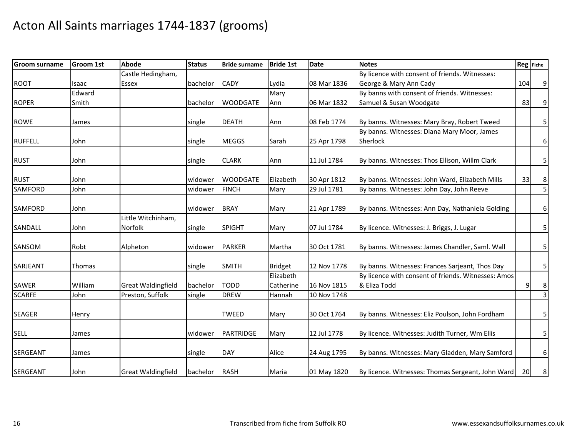| <b>Groom surname</b> | <b>Groom 1st</b> | <b>Abode</b>                  | <b>Status</b> | <b>Bride surname</b> | <b>Bride 1st</b>       | <b>Date</b> | <b>Notes</b>                                                        | Reg Fiche |                |
|----------------------|------------------|-------------------------------|---------------|----------------------|------------------------|-------------|---------------------------------------------------------------------|-----------|----------------|
|                      |                  | Castle Hedingham,             |               |                      |                        |             | By licence with consent of friends. Witnesses:                      |           |                |
| <b>ROOT</b>          | Isaac            | Essex                         | bachelor      | <b>CADY</b>          | Lydia                  | 08 Mar 1836 | George & Mary Ann Cady                                              | 104       | 9              |
|                      | Edward           |                               |               |                      | Mary                   |             | By banns with consent of friends. Witnesses:                        |           |                |
| <b>ROPER</b>         | Smith            |                               | bachelor      | <b>WOODGATE</b>      | Ann                    | 06 Mar 1832 | Samuel & Susan Woodgate                                             | 83        | 9              |
| ROWE                 | James            |                               | single        | <b>DEATH</b>         | Ann                    | 08 Feb 1774 | By banns. Witnesses: Mary Bray, Robert Tweed                        |           | $\mathsf{5}$   |
|                      |                  |                               |               |                      |                        |             | By banns. Witnesses: Diana Mary Moor, James                         |           |                |
| <b>RUFFELL</b>       | John             |                               | single        | <b>MEGGS</b>         | Sarah                  | 25 Apr 1798 | Sherlock                                                            |           | $6 \mid$       |
| <b>RUST</b>          | John             |                               | single        | <b>CLARK</b>         | Ann                    | 11 Jul 1784 | By banns. Witnesses: Thos Ellison, Willm Clark                      |           | 5 <sub>l</sub> |
| <b>RUST</b>          | John             |                               | widower       | <b>WOODGATE</b>      | Elizabeth              | 30 Apr 1812 | By banns. Witnesses: John Ward, Elizabeth Mills                     | 33        | 8 <sup>1</sup> |
| <b>SAMFORD</b>       | John             |                               | widower       | <b>FINCH</b>         | Mary                   | 29 Jul 1781 | By banns. Witnesses: John Day, John Reeve                           |           | 5              |
| <b>SAMFORD</b>       | John             |                               | widower       | <b>BRAY</b>          | Mary                   | 21 Apr 1789 | By banns. Witnesses: Ann Day, Nathaniela Golding                    |           | $6 \mid$       |
| SANDALL              | John             | Little Witchinham,<br>Norfolk | single        | <b>SPIGHT</b>        | Mary                   | 07 Jul 1784 | By licence. Witnesses: J. Briggs, J. Lugar                          |           | 5 <sub>l</sub> |
| SANSOM               | Robt             | Alpheton                      | widower       | <b>PARKER</b>        | Martha                 | 30 Oct 1781 | By banns. Witnesses: James Chandler, Saml. Wall                     |           | 5 <sub>l</sub> |
| SARJEANT             | Thomas           |                               | single        | <b>SMITH</b>         | <b>Bridget</b>         | 12 Nov 1778 | By banns. Witnesses: Frances Sarjeant, Thos Day                     |           | $\mathsf{5}$   |
| <b>SAWER</b>         | William          | <b>Great Waldingfield</b>     | bachelor      | <b>TODD</b>          | Elizabeth<br>Catherine | 16 Nov 1815 | By licence with consent of friends. Witnesses: Amos<br>& Eliza Todd | 9         | $\bf 8$        |
| <b>SCARFE</b>        | John             | Preston, Suffolk              | single        | <b>DREW</b>          | Hannah                 | 10 Nov 1748 |                                                                     |           | $\overline{3}$ |
| <b>SEAGER</b>        | Henry            |                               |               | <b>TWEED</b>         | Mary                   | 30 Oct 1764 | By banns. Witnesses: Eliz Poulson, John Fordham                     |           | 5 <sub>l</sub> |
| <b>SELL</b>          | James            |                               | widower       | <b>PARTRIDGE</b>     | Mary                   | 12 Jul 1778 | By licence. Witnesses: Judith Turner, Wm Ellis                      |           | 5 <sub>l</sub> |
| <b>SERGEANT</b>      | James            |                               | single        | <b>DAY</b>           | Alice                  | 24 Aug 1795 | By banns. Witnesses: Mary Gladden, Mary Samford                     |           | $6 \mid$       |
| SERGEANT             | John             | <b>Great Waldingfield</b>     | bachelor      | <b>RASH</b>          | Maria                  | 01 May 1820 | By licence. Witnesses: Thomas Sergeant, John Ward                   | 20        | 8 <sup>1</sup> |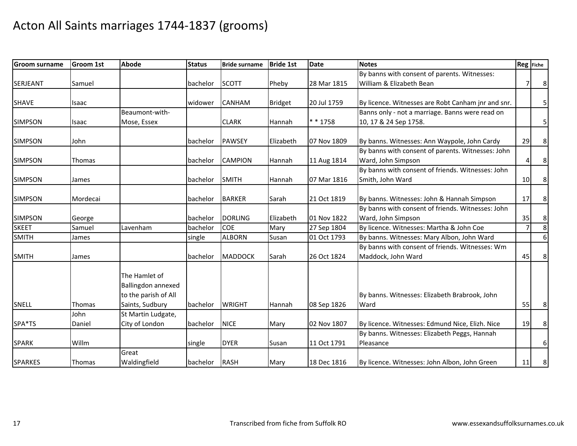| <b>Groom surname</b> | <b>Groom 1st</b> | <b>Abode</b>                                                | <b>Status</b> | <b>Bride surname</b> | <b>Bride 1st</b> | <b>Date</b> | <b>Notes</b>                                       | Reg Fiche      |                |
|----------------------|------------------|-------------------------------------------------------------|---------------|----------------------|------------------|-------------|----------------------------------------------------|----------------|----------------|
|                      |                  |                                                             |               |                      |                  |             | By banns with consent of parents. Witnesses:       |                |                |
| <b>SERJEANT</b>      | Samuel           |                                                             | bachelor      | <b>SCOTT</b>         | Pheby            | 28 Mar 1815 | William & Elizabeth Bean                           | $\overline{7}$ | 8 <sup>1</sup> |
|                      |                  |                                                             |               |                      |                  |             |                                                    |                |                |
| <b>SHAVE</b>         | Isaac            |                                                             | widower       | <b>CANHAM</b>        | <b>Bridget</b>   | 20 Jul 1759 | By licence. Witnesses are Robt Canham jnr and snr. |                | $\mathbf{5}$   |
|                      |                  | Beaumont-with-                                              |               |                      |                  |             | Banns only - not a marriage. Banns were read on    |                |                |
| <b>SIMPSON</b>       | Isaac            | Mose, Essex                                                 |               | <b>CLARK</b>         | Hannah           | * * 1758    | 10, 17 & 24 Sep 1758.                              |                | 5 <sub>l</sub> |
| <b>SIMPSON</b>       | John             |                                                             | bachelor      | <b>PAWSEY</b>        | Elizabeth        | 07 Nov 1809 | By banns. Witnesses: Ann Waypole, John Cardy       | 29             | 8 <sup>1</sup> |
|                      |                  |                                                             |               |                      |                  |             | By banns with consent of parents. Witnesses: John  |                |                |
| <b>SIMPSON</b>       | Thomas           |                                                             | bachelor      | <b>CAMPION</b>       | Hannah           | 11 Aug 1814 | Ward, John Simpson                                 | $\overline{A}$ | 8              |
|                      |                  |                                                             |               |                      |                  |             | By banns with consent of friends. Witnesses: John  |                |                |
| <b>SIMPSON</b>       | James            |                                                             | bachelor      | <b>SMITH</b>         | Hannah           | 07 Mar 1816 | Smith, John Ward                                   | 10             | $\bf 8$        |
| <b>SIMPSON</b>       | Mordecai         |                                                             | bachelor      | <b>BARKER</b>        | Sarah            | 21 Oct 1819 | By banns. Witnesses: John & Hannah Simpson         | 17             | 8 <sup>1</sup> |
|                      |                  |                                                             |               |                      |                  |             | By banns with consent of friends. Witnesses: John  |                |                |
| <b>SIMPSON</b>       | George           |                                                             | bachelor      | <b>DORLING</b>       | Elizabeth        | 01 Nov 1822 | Ward, John Simpson                                 | 35             | $\bf 8$        |
| <b>SKEET</b>         | Samuel           | Lavenham                                                    | bachelor      | <b>COE</b>           | Mary             | 27 Sep 1804 | By licence. Witnesses: Martha & John Coe           | $\overline{7}$ | $\infty$       |
| <b>SMITH</b>         | James            |                                                             | single        | <b>ALBORN</b>        | Susan            | 01 Oct 1793 | By banns. Witnesses: Mary Albon, John Ward         |                | 6 <sup>1</sup> |
|                      |                  |                                                             |               |                      |                  |             | By banns with consent of friends. Witnesses: Wm    |                |                |
| <b>SMITH</b>         | James            |                                                             | bachelor      | <b>MADDOCK</b>       | Sarah            | 26 Oct 1824 | Maddock, John Ward                                 | 45             | 8 <sup>1</sup> |
|                      |                  | The Hamlet of<br>Ballingdon annexed<br>to the parish of All |               |                      |                  |             | By banns. Witnesses: Elizabeth Brabrook, John      |                |                |
| <b>SNELL</b>         | Thomas           | Saints, Sudbury                                             | bachelor      | <b>WRIGHT</b>        | Hannah           | 08 Sep 1826 | Ward                                               | 55             | 8 <sup>2</sup> |
|                      | John             | St Martin Ludgate,                                          |               |                      |                  |             |                                                    |                |                |
| SPA*TS               | Daniel           | City of London                                              | bachelor      | <b>NICE</b>          | Mary             | 02 Nov 1807 | By licence. Witnesses: Edmund Nice, Elizh. Nice    | 19             | $\bf 8$        |
|                      |                  |                                                             |               |                      |                  |             | By banns. Witnesses: Elizabeth Peggs, Hannah       |                |                |
| <b>SPARK</b>         | Willm            |                                                             | single        | <b>DYER</b>          | Susan            | 11 Oct 1791 | Pleasance                                          |                | $6 \mid$       |
|                      |                  | Great                                                       |               |                      |                  |             |                                                    |                |                |
| <b>SPARKES</b>       | Thomas           | Waldingfield                                                | bachelor      | RASH                 | Mary             | 18 Dec 1816 | By licence. Witnesses: John Albon, John Green      | 11             | 8              |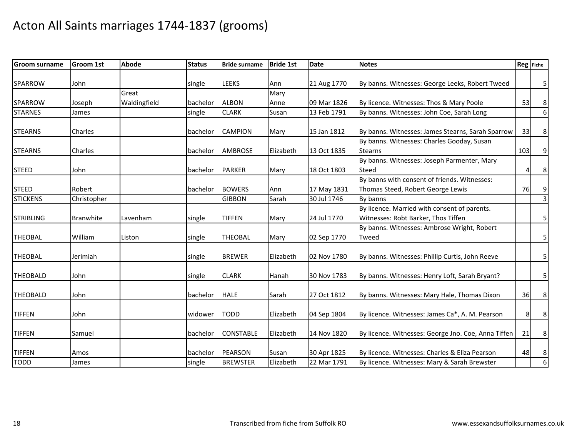| <b>Groom surname</b> | <b>Groom 1st</b> | <b>Abode</b> | <b>Status</b> | <b>Bride surname</b> | <b>Bride 1st</b> | <b>Date</b> | <b>Notes</b>                                        |     | Reg Fiche               |
|----------------------|------------------|--------------|---------------|----------------------|------------------|-------------|-----------------------------------------------------|-----|-------------------------|
| SPARROW              | John             |              | single        | <b>LEEKS</b>         | Ann              | 21 Aug 1770 | By banns. Witnesses: George Leeks, Robert Tweed     |     | $\overline{5}$          |
|                      |                  | Great        |               |                      | Mary             |             |                                                     |     |                         |
| SPARROW              | Joseph           | Waldingfield | bachelor      | <b>ALBON</b>         | Anne             | 09 Mar 1826 | By licence. Witnesses: Thos & Mary Poole            | 53  | $\bf 8$                 |
| <b>STARNES</b>       | James            |              | single        | <b>CLARK</b>         | Susan            | 13 Feb 1791 | By banns. Witnesses: John Coe, Sarah Long           |     | $6 \overline{6}$        |
| <b>STEARNS</b>       | Charles          |              | bachelor      | <b>CAMPION</b>       | Mary             | 15 Jan 1812 | By banns. Witnesses: James Stearns, Sarah Sparrow   | 33  | 8 <sup>1</sup>          |
|                      |                  |              |               |                      |                  |             | By banns. Witnesses: Charles Gooday, Susan          |     |                         |
| <b>STEARNS</b>       | Charles          |              | bachelor      | <b>AMBROSE</b>       | Elizabeth        | 13 Oct 1835 | <b>Stearns</b>                                      | 103 | 9                       |
|                      |                  |              |               |                      |                  |             | By banns. Witnesses: Joseph Parmenter, Mary         |     |                         |
| <b>STEED</b>         | John             |              | bachelor      | <b>PARKER</b>        | Mary             | 18 Oct 1803 | Steed                                               | 4   | $\bf 8$                 |
|                      |                  |              |               |                      |                  |             | By banns with consent of friends. Witnesses:        |     |                         |
| <b>STEED</b>         | Robert           |              | bachelor      | <b>BOWERS</b>        | Ann              | 17 May 1831 | Thomas Steed, Robert George Lewis                   | 76  | 9                       |
| <b>STICKENS</b>      | Christopher      |              |               | <b>GIBBON</b>        | Sarah            | 30 Jul 1746 | By banns                                            |     | $\overline{3}$          |
|                      |                  |              |               |                      |                  |             | By licence. Married with consent of parents.        |     |                         |
| <b>STRIBLING</b>     | Branwhite        | Lavenham     | single        | <b>TIFFEN</b>        | Mary             | 24 Jul 1770 | Witnesses: Robt Barker, Thos Tiffen                 |     | 5 <sub>l</sub>          |
|                      |                  |              |               |                      |                  |             | By banns. Witnesses: Ambrose Wright, Robert         |     |                         |
| <b>THEOBAL</b>       | William          | Liston       | single        | <b>THEOBAL</b>       | Mary             | 02 Sep 1770 | Tweed                                               |     | 5 <sub>l</sub>          |
| <b>THEOBAL</b>       | Jerimiah         |              | single        | <b>BREWER</b>        | Elizabeth        | 02 Nov 1780 | By banns. Witnesses: Phillip Curtis, John Reeve     |     | $\overline{\mathbf{5}}$ |
| <b>THEOBALD</b>      | John             |              | single        | <b>CLARK</b>         | Hanah            | 30 Nov 1783 | By banns. Witnesses: Henry Loft, Sarah Bryant?      |     | $\mathsf{5}$            |
| <b>THEOBALD</b>      | John             |              | bachelor      | <b>HALE</b>          | Sarah            | 27 Oct 1812 | By banns. Witnesses: Mary Hale, Thomas Dixon        | 36  | 8 <sup>1</sup>          |
| <b>TIFFEN</b>        | John             |              | widower       | <b>TODD</b>          | Elizabeth        | 04 Sep 1804 | By licence. Witnesses: James Ca*, A. M. Pearson     | 8   | 8 <sup>1</sup>          |
| <b>TIFFEN</b>        | Samuel           |              | bachelor      | <b>CONSTABLE</b>     | Elizabeth        | 14 Nov 1820 | By licence. Witnesses: George Jno. Coe, Anna Tiffen | 21  | 8 <sup>°</sup>          |
| <b>TIFFEN</b>        | Amos             |              | bachelor      | <b>PEARSON</b>       | Susan            | 30 Apr 1825 | By licence. Witnesses: Charles & Eliza Pearson      | 48  | $\bf 8$                 |
| <b>TODD</b>          | James            |              | single        | <b>BREWSTER</b>      | Elizabeth        | 22 Mar 1791 | By licence. Witnesses: Mary & Sarah Brewster        |     | $6 \overline{6}$        |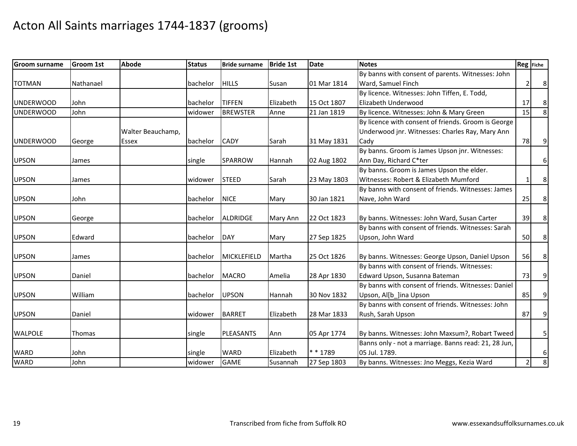| <b>Groom surname</b> | <b>Groom 1st</b> | <b>Abode</b>      | <b>Status</b> | <b>Bride surname</b> | <b>Bride 1st</b> | <b>Date</b> | <b>Notes</b>                                                          |                | Reg Fiche      |
|----------------------|------------------|-------------------|---------------|----------------------|------------------|-------------|-----------------------------------------------------------------------|----------------|----------------|
|                      |                  |                   |               |                      |                  |             | By banns with consent of parents. Witnesses: John                     |                |                |
| <b>TOTMAN</b>        | Nathanael        |                   | bachelor      | <b>HILLS</b>         | Susan            | 01 Mar 1814 | Ward, Samuel Finch                                                    | $\overline{2}$ | 8              |
|                      |                  |                   |               |                      |                  |             | By licence. Witnesses: John Tiffen, E. Todd,                          |                |                |
| <b>UNDERWOOD</b>     | John             |                   | bachelor      | <b>TIFFEN</b>        | Elizabeth        | 15 Oct 1807 | Elizabeth Underwood                                                   | 17             | $\,8\,$        |
| <b>UNDERWOOD</b>     | John             |                   | widower       | <b>BREWSTER</b>      | Anne             | 21 Jan 1819 | By licence. Witnesses: John & Mary Green                              | 15             | $\infty$       |
|                      |                  |                   |               |                      |                  |             | By licence with consent of friends. Groom is George                   |                |                |
|                      |                  | Walter Beauchamp, |               |                      |                  |             | Underwood jnr. Witnesses: Charles Ray, Mary Ann                       |                |                |
| <b>UNDERWOOD</b>     | George           | <b>Essex</b>      | bachelor      | <b>CADY</b>          | Sarah            | 31 May 1831 | Cady                                                                  | 78             | $\overline{9}$ |
|                      |                  |                   |               |                      |                  |             | By banns. Groom is James Upson jnr. Witnesses:                        |                |                |
| <b>UPSON</b>         | James            |                   | single        | <b>SPARROW</b>       | Hannah           | 02 Aug 1802 | Ann Day, Richard C*ter                                                |                | 6              |
|                      |                  |                   |               |                      |                  |             | By banns. Groom is James Upson the elder.                             |                |                |
| <b>UPSON</b>         | James            |                   | widower       | <b>STEED</b>         | Sarah            | 23 May 1803 | Witnesses: Robert & Elizabeth Mumford                                 |                | 8              |
|                      |                  |                   |               |                      |                  |             | By banns with consent of friends. Witnesses: James                    |                |                |
| <b>UPSON</b>         | John             |                   | bachelor      | <b>NICE</b>          | Mary             | 30 Jan 1821 | Nave, John Ward                                                       | 25             | 8              |
|                      |                  |                   |               |                      |                  |             |                                                                       |                |                |
| <b>UPSON</b>         | George           |                   | bachelor      | <b>ALDRIDGE</b>      | Mary Ann         | 22 Oct 1823 | By banns. Witnesses: John Ward, Susan Carter                          | 39             | 8              |
|                      |                  |                   |               |                      |                  |             | By banns with consent of friends. Witnesses: Sarah                    |                |                |
| <b>UPSON</b>         | Edward           |                   | bachelor      | DAY                  | Mary             | 27 Sep 1825 | Upson, John Ward                                                      | 50             | 8              |
|                      |                  |                   |               |                      |                  |             |                                                                       |                |                |
| <b>UPSON</b>         | James            |                   | bachelor      | <b>MICKLEFIELD</b>   | Martha           | 25 Oct 1826 | By banns. Witnesses: George Upson, Daniel Upson                       | 56             | 8              |
|                      |                  |                   |               |                      |                  |             | By banns with consent of friends. Witnesses:                          |                |                |
| <b>UPSON</b>         | Daniel           |                   | bachelor      | <b>MACRO</b>         | Amelia           | 28 Apr 1830 | Edward Upson, Susanna Bateman                                         | 73             | 9              |
|                      |                  |                   |               |                      |                  |             | By banns with consent of friends. Witnesses: Daniel                   |                |                |
| <b>UPSON</b>         | William          |                   | bachelor      | <b>UPSON</b>         | Hannah           | 30 Nov 1832 | Upson, Al[b_]ina Upson                                                | 85             | 9              |
|                      |                  |                   |               |                      |                  |             | By banns with consent of friends. Witnesses: John                     |                |                |
| <b>UPSON</b>         | Daniel           |                   | widower       | <b>BARRET</b>        | Elizabeth        | 28 Mar 1833 | Rush, Sarah Upson                                                     | 87             | $\overline{9}$ |
|                      |                  |                   |               |                      |                  |             |                                                                       |                |                |
| <b>WALPOLE</b>       | <b>Thomas</b>    |                   | single        | <b>PLEASANTS</b>     | Ann              | 05 Apr 1774 | By banns. Witnesses: John Maxsum?, Robart Tweed                       |                | 5              |
|                      |                  |                   |               |                      |                  |             | Banns only - not a marriage. Banns read: 21, 28 Jun,<br>05 Jul. 1789. |                |                |
| <b>WARD</b>          | John             |                   | single        | <b>WARD</b>          | Elizabeth        | ** 1789     |                                                                       |                | 6              |
| <b>WARD</b>          | John             |                   | widower       | <b>GAME</b>          | Susannah         | 27 Sep 1803 | By banns. Witnesses: Jno Meggs, Kezia Ward                            |                | 8              |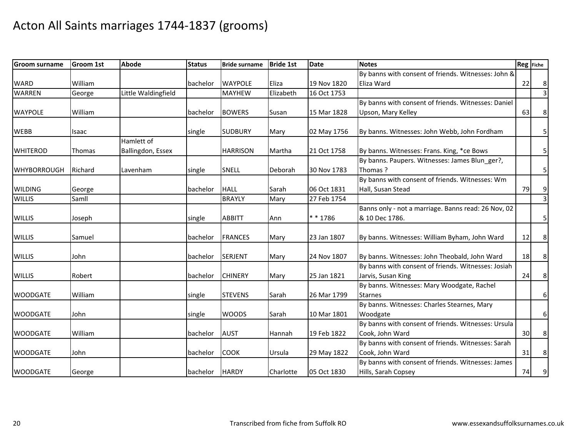| <b>Groom surname</b> | <b>Groom 1st</b> | <b>Abode</b>        | <b>Status</b> | <b>Bride surname</b> | <b>Bride 1st</b> | <b>Date</b> | <b>Notes</b>                                        | Reg Fiche |                |
|----------------------|------------------|---------------------|---------------|----------------------|------------------|-------------|-----------------------------------------------------|-----------|----------------|
|                      |                  |                     |               |                      |                  |             | By banns with consent of friends. Witnesses: John & |           |                |
| <b>WARD</b>          | William          |                     | bachelor      | <b>WAYPOLE</b>       | Eliza            | 19 Nov 1820 | Eliza Ward                                          | 22        | 8 <sup>1</sup> |
| <b>WARREN</b>        | George           | Little Waldingfield |               | <b>MAYHEW</b>        | Elizabeth        | 16 Oct 1753 |                                                     |           | $\overline{3}$ |
|                      |                  |                     |               |                      |                  |             | By banns with consent of friends. Witnesses: Daniel |           |                |
| <b>WAYPOLE</b>       | William          |                     | bachelor      | <b>BOWERS</b>        | Susan            | 15 Mar 1828 | Upson, Mary Kelley                                  | 63        | $\bf 8$        |
| <b>WEBB</b>          | Isaac            |                     | single        | <b>SUDBURY</b>       | Mary             | 02 May 1756 | By banns. Witnesses: John Webb, John Fordham        |           | 5 <sub>l</sub> |
|                      |                  | Hamlett of          |               |                      |                  |             |                                                     |           |                |
| <b>WHITEROD</b>      | Thomas           | Ballingdon, Essex   |               | <b>HARRISON</b>      | Martha           | 21 Oct 1758 | By banns. Witnesses: Frans. King, *ce Bows          |           | 5 <sub>l</sub> |
|                      |                  |                     |               |                      |                  |             | By banns. Paupers. Witnesses: James Blun ger?,      |           |                |
| <b>WHYBORROUGH</b>   | Richard          | Lavenham            | single        | <b>SNELL</b>         | Deborah          | 30 Nov 1783 | Thomas?                                             |           | 5 <sub>l</sub> |
|                      |                  |                     |               |                      |                  |             | By banns with consent of friends. Witnesses: Wm     |           |                |
| <b>WILDING</b>       | George           |                     | bachelor      | <b>HALL</b>          | Sarah            | 06 Oct 1831 | Hall, Susan Stead                                   | 79        | 9              |
| <b>WILLIS</b>        | Samll            |                     |               | <b>BRAYLY</b>        | Mary             | 27 Feb 1754 |                                                     |           | $\overline{3}$ |
|                      |                  |                     |               |                      |                  |             | Banns only - not a marriage. Banns read: 26 Nov, 02 |           |                |
| <b>WILLIS</b>        | Joseph           |                     | single        | <b>ABBITT</b>        | Ann              | ** 1786     | & 10 Dec 1786.                                      |           | $\mathsf{5}$   |
| <b>WILLIS</b>        | Samuel           |                     | bachelor      | <b>FRANCES</b>       | Mary             | 23 Jan 1807 | By banns. Witnesses: William Byham, John Ward       | 12        | 8 <sup>1</sup> |
| <b>WILLIS</b>        | John             |                     | bachelor      | <b>SERJENT</b>       | Mary             | 24 Nov 1807 | By banns. Witnesses: John Theobald, John Ward       | 18        | 8 <sup>1</sup> |
|                      |                  |                     |               |                      |                  |             | By banns with consent of friends. Witnesses: Josiah |           |                |
| <b>WILLIS</b>        | Robert           |                     | bachelor      | <b>CHINERY</b>       | Mary             | 25 Jan 1821 | Jarvis, Susan King                                  | 24        | 8 <sup>1</sup> |
|                      |                  |                     |               |                      |                  |             | By banns. Witnesses: Mary Woodgate, Rachel          |           |                |
| <b>WOODGATE</b>      | William          |                     | single        | <b>STEVENS</b>       | Sarah            | 26 Mar 1799 | <b>Starnes</b>                                      |           | $6 \mid$       |
|                      |                  |                     |               |                      |                  |             | By banns. Witnesses: Charles Stearnes, Mary         |           |                |
| <b>WOODGATE</b>      | John             |                     | single        | <b>WOODS</b>         | Sarah            | 10 Mar 1801 | Woodgate                                            |           | $6 \mid$       |
|                      |                  |                     |               |                      |                  |             | By banns with consent of friends. Witnesses: Ursula |           |                |
| <b>WOODGATE</b>      | William          |                     | bachelor      | <b>AUST</b>          | Hannah           | 19 Feb 1822 | Cook, John Ward                                     | 30        | 8 <sup>1</sup> |
|                      |                  |                     |               |                      |                  |             | By banns with consent of friends. Witnesses: Sarah  |           |                |
| <b>WOODGATE</b>      | John             |                     | bachelor      | <b>COOK</b>          | Ursula           | 29 May 1822 | Cook, John Ward                                     | 31        | 8 <sub>o</sub> |
|                      |                  |                     |               |                      |                  |             | By banns with consent of friends. Witnesses: James  |           |                |
| <b>WOODGATE</b>      | George           |                     | bachelor      | HARDY                | Charlotte        | 05 Oct 1830 | Hills, Sarah Copsey                                 | 74        | 9              |